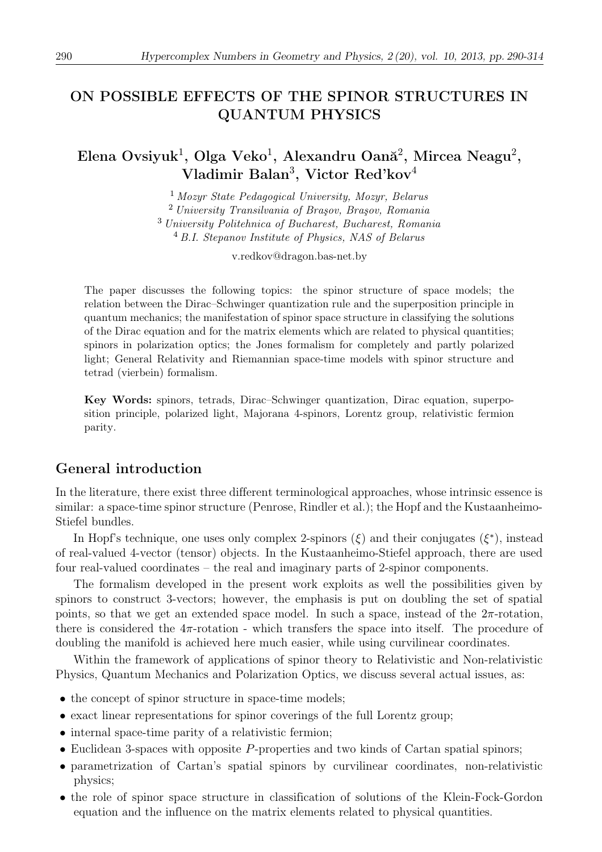# ON POSSIBLE EFFECTS OF THE SPINOR STRUCTURES IN QUANTUM PHYSICS

Elena Ovsiyuk<sup>1</sup>, Olga Veko<sup>1</sup>, Alexandru Oană<sup>2</sup>, Mircea Neagu<sup>2</sup>, Vladimir Balan<sup>3</sup>, Victor Red'kov<sup>4</sup>

> Mozyr State Pedagogical University, Mozyr, Belarus University Transilvania of Brasov, Brasov, Romania University Politehnica of Bucharest, Bucharest, Romania B.I. Stepanov Institute of Physics, NAS of Belarus

> > v.redkov@dragon.bas-net.by

The paper discusses the following topics: the spinor structure of space models; the relation between the Dirac–Schwinger quantization rule and the superposition principle in quantum mechanics; the manifestation of spinor space structure in classifying the solutions of the Dirac equation and for the matrix elements which are related to physical quantities; spinors in polarization optics; the Jones formalism for completely and partly polarized light; General Relativity and Riemannian space-time models with spinor structure and tetrad (vierbein) formalism.

Key Words: spinors, tetrads, Dirac–Schwinger quantization, Dirac equation, superposition principle, polarized light, Majorana 4-spinors, Lorentz group, relativistic fermion parity.

## General introduction

In the literature, there exist three different terminological approaches, whose intrinsic essence is similar: a space-time spinor structure (Penrose, Rindler et al.); the Hopf and the Kustaanheimo-Stiefel bundles.

In Hopf's technique, one uses only complex 2-spinors  $(\xi)$  and their conjugates  $(\xi^*)$ , instead of real-valued 4-vector (tensor) objects. In the Kustaanheimo-Stiefel approach, there are used four real-valued coordinates – the real and imaginary parts of 2-spinor components.

The formalism developed in the present work exploits as well the possibilities given by spinors to construct 3-vectors; however, the emphasis is put on doubling the set of spatial points, so that we get an extended space model. In such a space, instead of the  $2\pi$ -rotation, there is considered the 4π-rotation - which transfers the space into itself. The procedure of doubling the manifold is achieved here much easier, while using curvilinear coordinates.

Within the framework of applications of spinor theory to Relativistic and Non-relativistic Physics, Quantum Mechanics and Polarization Optics, we discuss several actual issues, as:

- the concept of spinor structure in space-time models;
- exact linear representations for spinor coverings of the full Lorentz group;
- internal space-time parity of a relativistic fermion;
- Euclidean 3-spaces with opposite P-properties and two kinds of Cartan spatial spinors;
- parametrization of Cartan's spatial spinors by curvilinear coordinates, non-relativistic physics;
- the role of spinor space structure in classification of solutions of the Klein-Fock-Gordon equation and the influence on the matrix elements related to physical quantities.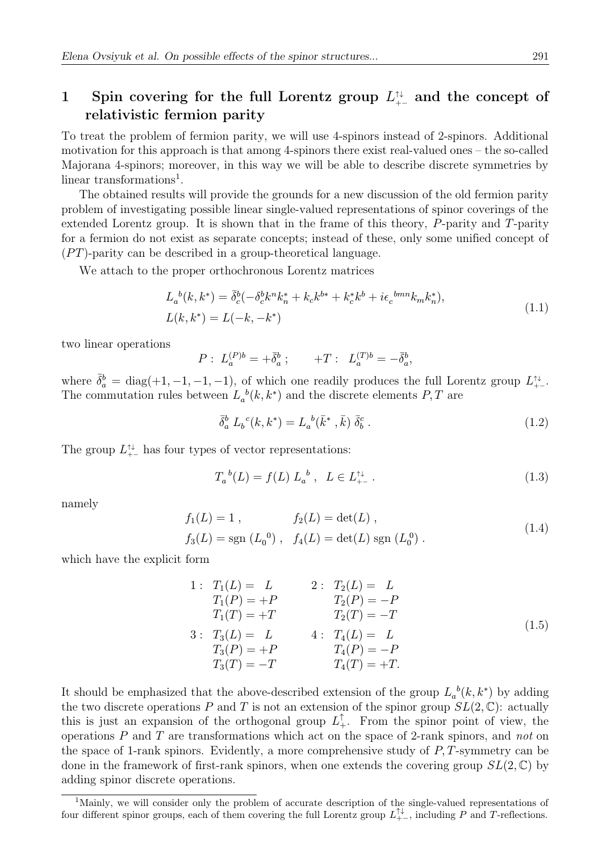# 1 Spin covering for the full Lorentz group  $L_{+-}^{\uparrow\downarrow}$  and the concept of relativistic fermion parity

To treat the problem of fermion parity, we will use 4-spinors instead of 2-spinors. Additional motivation for this approach is that among 4-spinors there exist real-valued ones – the so-called Majorana 4-spinors; moreover, in this way we will be able to describe discrete symmetries by linear transformations<sup>1</sup>.

The obtained results will provide the grounds for a new discussion of the old fermion parity problem of investigating possible linear single-valued representations of spinor coverings of the extended Lorentz group. It is shown that in the frame of this theory, P-parity and T-parity for a fermion do not exist as separate concepts; instead of these, only some unified concept of  $(PT)$ -parity can be described in a group-theoretical language.

We attach to the proper orthochronous Lorentz matrices

$$
L_a^{b}(k, k^*) = \bar{\delta}_c^{b}(-\delta_c^b k^n k_n^* + k_c k^{b*} + k_c^* k^b + i\epsilon_c^{bmn} k_m k_n^*),
$$
  

$$
L(k, k^*) = L(-k, -k^*)
$$
 (1.1)

two linear operations

$$
P: L_a^{(P)b} = +\bar{\delta}_a^b; \qquad +T: L_a^{(T)b} = -\bar{\delta}_a^b,
$$

where  $\bar{\delta}_a^b = \text{diag}(+1, -1, -1, -1)$ , of which one readily produces the full Lorentz group  $L_{+-}^{\uparrow\downarrow}$ . The commutation rules between  $L_a^b(k, k^*)$  and the discrete elements  $P, T$  are

$$
\bar{\delta}_a^b \ L_b^{\ c}(k, k^*) = L_a^{\ b}(\bar{k}^*, \bar{k}) \ \bar{\delta}_b^c \ . \tag{1.2}
$$

The group  $L_{+-}^{\uparrow\downarrow}$  has four types of vector representations:

$$
T_a{}^b(L) = f(L) L_a{}^b , \quad L \in L_{+-}^{\uparrow \downarrow} . \tag{1.3}
$$

namely

$$
f_1(L) = 1, \t f_2(L) = \det(L),
$$
  
\n
$$
f_3(L) = \text{sgn}(L_0^0), \t f_4(L) = \det(L) \text{sgn}(L_0^0).
$$
\n(1.4)

which have the explicit form

1: 
$$
T_1(L) = L
$$
  
\n $T_1(P) = +P$   
\n $T_1(T) = +T$   
\n3:  $T_3(L) = L$   
\n $T_3(P) = +P$   
\n $T_4(P) = -T$   
\n4:  $T_4(L) = L$   
\n $T_4(P) = -P$   
\n $T_4(P) = -P$   
\n $T_4(T) = +T$ . (1.5)

It should be emphasized that the above-described extension of the group  $L_a^b(k, k^*)$  by adding the two discrete operations P and T is not an extension of the spinor group  $SL(2,\mathbb{C})$ : actually this is just an expansion of the orthogonal group  $L_+^{\uparrow}$ . From the spinor point of view, the operations  $P$  and  $T$  are transformations which act on the space of 2-rank spinors, and not on the space of 1-rank spinors. Evidently, a more comprehensive study of  $P, T$ -symmetry can be done in the framework of first-rank spinors, when one extends the covering group  $SL(2,\mathbb{C})$  by adding spinor discrete operations.

<sup>&</sup>lt;sup>1</sup>Mainly, we will consider only the problem of accurate description of the single-valued representations of four different spinor groups, each of them covering the full Lorentz group  $L_{+-}^{\uparrow\downarrow}$ , including P and T-reflections.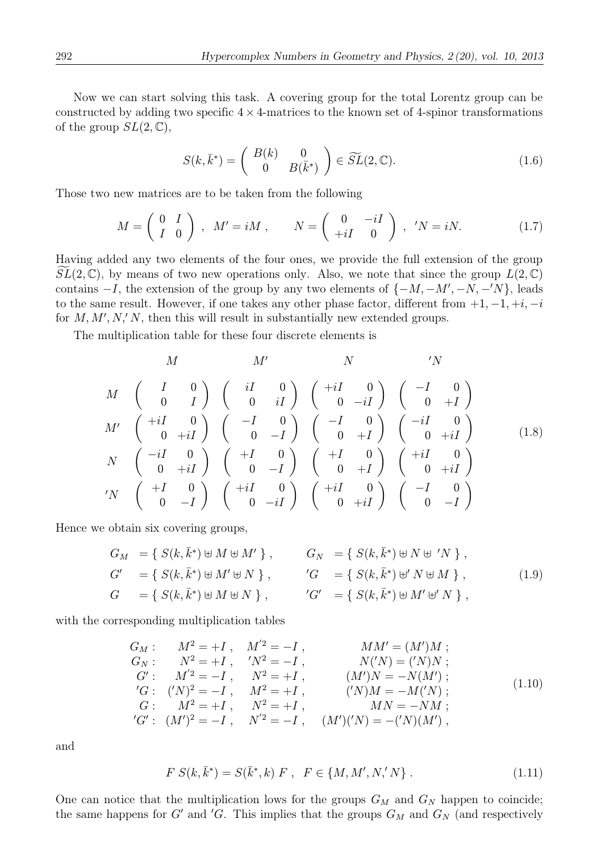Now we can start solving this task. A covering group for the total Lorentz group can be constructed by adding two specific  $4 \times 4$ -matrices to the known set of 4-spinor transformations of the group  $SL(2,\mathbb{C}),$ 

$$
S(k,\bar{k}^*) = \begin{pmatrix} B(k) & 0 \\ 0 & B(\bar{k}^*) \end{pmatrix} \in \widetilde{SL}(2,\mathbb{C}).
$$
 (1.6)

Those two new matrices are to be taken from the following

$$
M = \begin{pmatrix} 0 & I \\ I & 0 \end{pmatrix}, \quad M' = iM, \qquad N = \begin{pmatrix} 0 & -iI \\ +iI & 0 \end{pmatrix}, \quad'N = iN. \tag{1.7}
$$

Having added any two elements of the four ones, we provide the full extension of the group  $SL(2,\mathbb{C})$ , by means of two new operations only. Also, we note that since the group  $L(2,\mathbb{C})$ contains  $-I$ , the extension of the group by any two elements of  $\{-M, -M', -N, -N\}$ , leads to the same result. However, if one takes any other phase factor, different from  $+1, -1, +i, -i$ for  $M, M', N', N$ , then this will result in substantially new extended groups.

The multiplication table for these four discrete elements is

$$
M \begin{pmatrix} I & 0 \\ 0 & I \end{pmatrix} \begin{pmatrix} iI & 0 \\ 0 & iI \end{pmatrix} \begin{pmatrix} +iI & 0 \\ 0 & -iI \end{pmatrix} \begin{pmatrix} -I & 0 \\ 0 & +I \end{pmatrix}
$$
  
\n
$$
M' \begin{pmatrix} +iI & 0 \\ 0 & +iI \end{pmatrix} \begin{pmatrix} -I & 0 \\ 0 & -I \end{pmatrix} \begin{pmatrix} -I & 0 \\ 0 & +I \end{pmatrix} \begin{pmatrix} -iI & 0 \\ 0 & +iI \end{pmatrix}
$$
  
\n
$$
N \begin{pmatrix} -iI & 0 \\ 0 & +iI \end{pmatrix} \begin{pmatrix} +I & 0 \\ 0 & -I \end{pmatrix} \begin{pmatrix} +I & 0 \\ 0 & +I \end{pmatrix} \begin{pmatrix} +iI & 0 \\ 0 & +iI \end{pmatrix}
$$
  
\n
$$
{}'N \begin{pmatrix} +I & 0 \\ 0 & -I \end{pmatrix} \begin{pmatrix} +iI & 0 \\ 0 & -iI \end{pmatrix} \begin{pmatrix} +iI & 0 \\ 0 & +iI \end{pmatrix} \begin{pmatrix} -I & 0 \\ 0 & -I \end{pmatrix}
$$

Hence we obtain six covering groups,

$$
G_M = \{ S(k, \bar{k}^*) \oplus M \oplus M' \}, \qquad G_N = \{ S(k, \bar{k}^*) \oplus N \oplus N' \},
$$
  
\n
$$
G' = \{ S(k, \bar{k}^*) \oplus M' \oplus N \}, \qquad G' = \{ S(k, \bar{k}^*) \oplus N \oplus M \},
$$
  
\n
$$
G = \{ S(k, \bar{k}^*) \oplus M \oplus N \}, \qquad G' = \{ S(k, \bar{k}^*) \oplus M' \oplus N \},
$$
  
\n
$$
(1.9)
$$

with the corresponding multiplication tables

$$
G_M: M^2 = +I, M'^2 = -I, MM' = (M')M;\nG_N: N^2 = +I, Y^2 = -I, N'^2 = -I, M'(N) = ('N)N;\nG': M'^2 = -I, N^2 = +I, (M')N = -N(M');\nG: (N)^2 = -I, M^2 = +I, (N)M = -M('N);\nG: M^2 = +I, N^2 = +I, MM = -NM;\nG': (M')^2 = -I, N'^2 = -I, (M')(N) = -('N)(M'),
$$
\n(1.10)

and

$$
F S(k, \bar{k}^*) = S(\bar{k}^*, k) F , F \in \{M, M', N', N\} .
$$
 (1.11)

One can notice that the multiplication lows for the groups  $G_M$  and  $G_N$  happen to coincide; the same happens for G' and 'G. This implies that the groups  $G_M$  and  $G_N$  (and respectively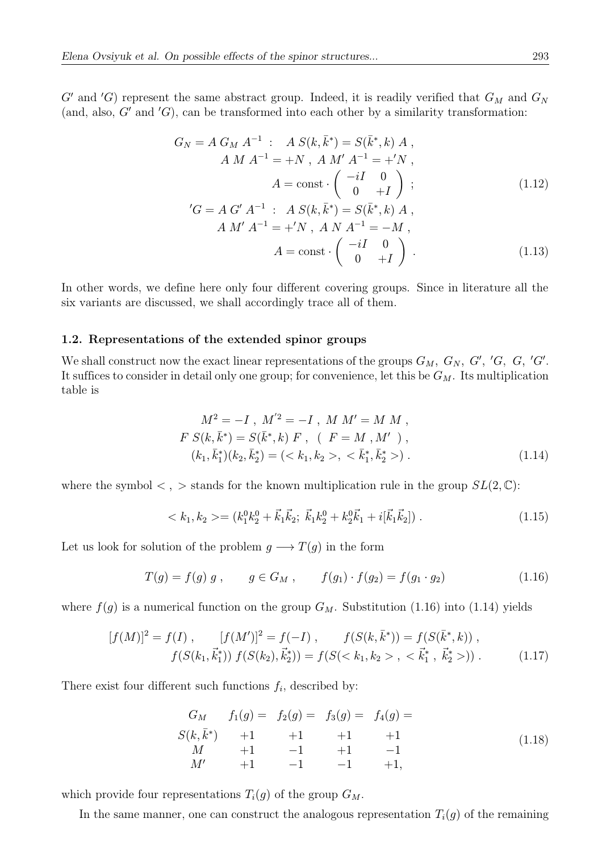$G'$  and 'G) represent the same abstract group. Indeed, it is readily verified that  $G_M$  and  $G_N$ (and, also,  $G'$  and  $'G$ ), can be transformed into each other by a similarity transformation:

$$
G_N = A G_M A^{-1} : A S(k, \bar{k}^*) = S(\bar{k}^*, k) A ,
$$
  
\n
$$
A M A^{-1} = +N , A M' A^{-1} = +'N ,
$$
  
\n
$$
A = \text{const} \cdot \begin{pmatrix} -iI & 0 \\ 0 & +I \end{pmatrix} ;
$$
  
\n
$$
G = A G' A^{-1} : A S(k, \bar{k}^*) = S(\bar{k}^*, k) A ,
$$
  
\n
$$
A M' A^{-1} = +'N , A N A^{-1} = -M ,
$$
  
\n
$$
A = \text{const} \cdot \begin{pmatrix} -iI & 0 \\ 0 & +I \end{pmatrix} .
$$
\n(1.13)

In other words, we define here only four different covering groups. Since in literature all the six variants are discussed, we shall accordingly trace all of them.

### 1.2. Representations of the extended spinor groups

We shall construct now the exact linear representations of the groups  $G_M$ ,  $G_N$ ,  $G'$ ,  $'G$ ,  $G'$ ,  $'G'$ . It suffices to consider in detail only one group; for convenience, let this be  $G_M$ . Its multiplication table is

$$
M^{2} = -I, M'^{2} = -I, M M' = M M,
$$
  
\n
$$
F S(k, \bar{k}^{*}) = S(\bar{k}^{*}, k) F, (F = M, M'),
$$
  
\n
$$
(k_{1}, \bar{k}_{1}^{*})(k_{2}, \bar{k}_{2}^{*}) = (\langle k_{1}, k_{2} \rangle, \langle k_{1}, \bar{k}_{2}^{*} \rangle).
$$
\n(1.14)

where the symbol  $\langle , \rangle$  stands for the known multiplication rule in the group  $SL(2, \mathbb{C})$ :

$$
\langle k_1, k_2 \rangle = (k_1^0 k_2^0 + \vec{k}_1 \vec{k}_2; \ \vec{k}_1 k_2^0 + k_2^0 \vec{k}_1 + i[\vec{k}_1 \vec{k}_2]). \tag{1.15}
$$

Let us look for solution of the problem  $g \longrightarrow T(g)$  in the form

$$
T(g) = f(g) g , \t g \in G_M , \t f(g_1) \cdot f(g_2) = f(g_1 \cdot g_2) \t (1.16)
$$

where  $f(g)$  is a numerical function on the group  $G_M$ . Substitution (1.16) into (1.14) yields

$$
[f(M)]^2 = f(I), \qquad [f(M')]^2 = f(-I), \qquad f(S(k, \bar{k}^*)) = f(S(\bar{k}^*, k)),
$$
  

$$
f(S(k_1, \vec{k}_1^*)) f(S(k_2), \vec{k}_2^*)) = f(S( , <\vec{k}_1^*, \vec{k}_2^*)).
$$
 (1.17)

There exist four different such functions  $f_i$ , described by:

G<sup>M</sup> f1(g) = f2(g) = f3(g) = f4(g) = S(k, ˉ k∗) +1 +1 +1 +1 M +1 −1 +1 −1 M<sup>0</sup> +1 −1 −1 +1, (1.18)

which provide four representations  $T_i(g)$  of the group  $G_M$ .

In the same manner, one can construct the analogous representation  $T_i(g)$  of the remaining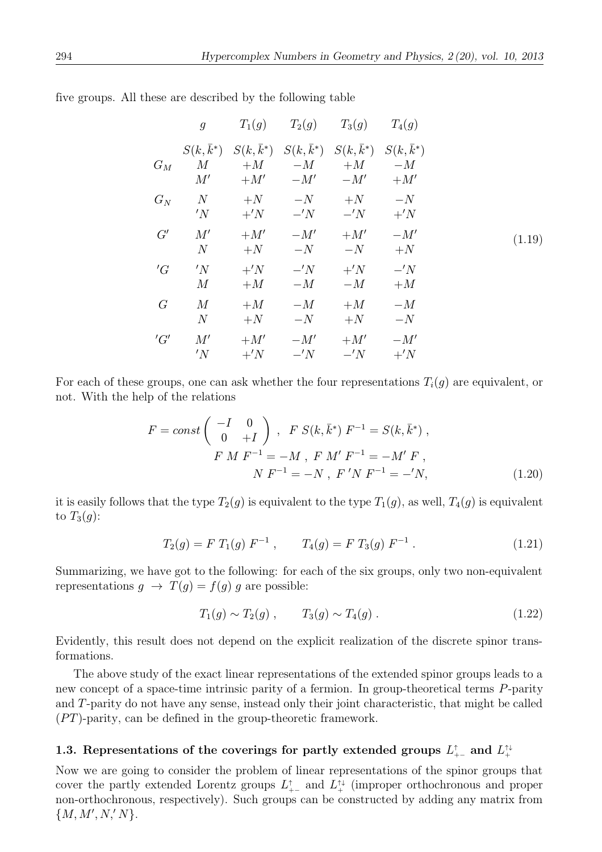|       | $\mathfrak{g}$         |                        |                   | $T_1(g)$ $T_2(g)$ $T_3(g)$                                                                           | $T_4(g)$                 |        |
|-------|------------------------|------------------------|-------------------|------------------------------------------------------------------------------------------------------|--------------------------|--------|
| $G_M$ | $S(k, k^*)$<br>M<br>M' |                        | $+M$ $-M$         | $S(k, \bar{k}^*)$ $S(k, \bar{k}^*)$ $S(k, \bar{k}^*)$ $S(k, \bar{k}^*)$<br>$+M$<br>$+M'$ $-M'$ $-M'$ | $-M$<br>$+M'$            |        |
| $G_N$ | N<br>'N                | $+^{\prime}N$          | $+N$ $-N$<br>$-N$ | $+N$ $-N$<br>$-N$                                                                                    | $+^{\prime}N$            |        |
| G'    | M'<br>$\mathcal N$     | $+M'$<br>$+N$          | $-M'$<br>$-N$     | $+M'$<br>$-N$                                                                                        | $-M'$<br>$+N$            | (1.19) |
| 'G    | 'N<br>M                | $+^{\prime}N$<br>$+M$  | $-N$<br>$-M$      | $+^{\prime}N$<br>$-M$                                                                                | $-{}'N$<br>$+M$          |        |
| G     | M<br>$\mathcal N$      | $+M$<br>$+N$           | $-M$<br>$-N$      | $+M$<br>$+N$                                                                                         | $-M$<br>$-N$             |        |
| 'G'   | M'<br>'N               | $+M'$<br>$+^{\prime}N$ | $-M'$<br>$-{}'N$  | $+M'$<br>$-N$                                                                                        | $-M'$<br>$+{}^{\prime}N$ |        |

five groups. All these are described by the following table

For each of these groups, one can ask whether the four representations  $T_i(g)$  are equivalent, or not. With the help of the relations

$$
F = const \begin{pmatrix} -I & 0 \\ 0 & +I \end{pmatrix}, \quad F S(k, \bar{k}^*) F^{-1} = S(k, \bar{k}^*) ,
$$
  
\n
$$
F M F^{-1} = -M , \quad F M' F^{-1} = -M' F ,
$$
  
\n
$$
N F^{-1} = -N , \quad F' N F^{-1} = -'N ,
$$
\n(1.20)

it is easily follows that the type  $T_2(g)$  is equivalent to the type  $T_1(g)$ , as well,  $T_4(g)$  is equivalent to  $T_3(g)$ :

$$
T_2(g) = F T_1(g) F^{-1} , \qquad T_4(g) = F T_3(g) F^{-1} . \qquad (1.21)
$$

Summarizing, we have got to the following: for each of the six groups, only two non-equivalent representations  $g \to T(g) = f(g) g$  are possible:

$$
T_1(g) \sim T_2(g) , \qquad T_3(g) \sim T_4(g) . \tag{1.22}
$$

Evidently, this result does not depend on the explicit realization of the discrete spinor transformations.

The above study of the exact linear representations of the extended spinor groups leads to a new concept of a space-time intrinsic parity of a fermion. In group-theoretical terms P-parity and T-parity do not have any sense, instead only their joint characteristic, that might be called  $(PT)$ -parity, can be defined in the group-theoretic framework.

# 1.3. Representations of the coverings for partly extended groups  $L_{+-}^{\uparrow}$  and  $L_{+}^{\uparrow\downarrow}$

Now we are going to consider the problem of linear representations of the spinor groups that cover the partly extended Lorentz groups  $L_{+-}^{\uparrow}$  and  $L_{+-}^{\uparrow\downarrow}$  (improper orthochronous and proper non-orthochronous, respectively). Such groups can be constructed by adding any matrix from  ${M, M', N', N}.$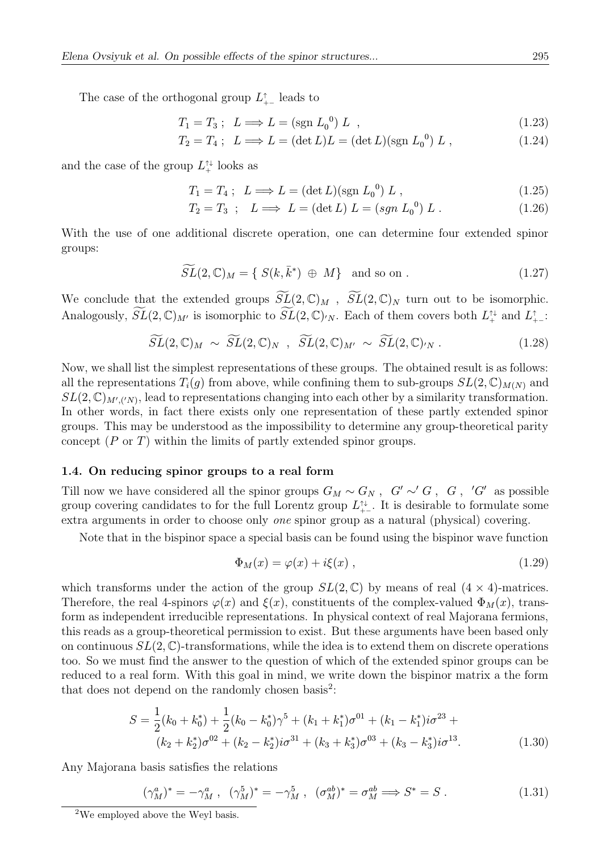The case of the orthogonal group  $L_{+-}^{\uparrow}$  leads to

$$
T_1 = T_3; \quad L \Longrightarrow L = \left(\text{sgn } L_0^0\right) L \quad , \tag{1.23}
$$

$$
T_2 = T_4; \quad L \Longrightarrow L = (\det L)L = (\det L)(\text{sgn } L_0^0) L \,, \tag{1.24}
$$

and the case of the group  $L^{\uparrow\downarrow}$  looks as

$$
T_1 = T_4 ; \quad L \Longrightarrow L = (\det L)(\text{sgn } L_0^0) \ L , \tag{1.25}
$$

$$
T_2 = T_3 \, ; \quad L \Longrightarrow \, L = (\det L) \, L = (sgn \, L_0^0) \, L \, . \tag{1.26}
$$

With the use of one additional discrete operation, one can determine four extended spinor groups:

$$
\widetilde{SL}(2,\mathbb{C})_M = \{ S(k,\bar{k}^*) \oplus M \} \text{ and so on }.
$$
 (1.27)

We conclude that the extended groups  $\widetilde{SL}(2,\mathbb{C})_M$ ,  $\widetilde{SL}(2,\mathbb{C})_N$  turn out to be isomorphic. Analogously,  $SL(2,\mathbb{C})_{M'}$  is isomorphic to  $SL(2,\mathbb{C})_{N}$ . Each of them covers both  $L^{\uparrow\downarrow}_{+}$  and  $L^{\uparrow}_{+-}$ :

$$
\widetilde{SL}(2,\mathbb{C})_M \sim \widetilde{SL}(2,\mathbb{C})_N \ , \ \widetilde{SL}(2,\mathbb{C})_{M'} \sim \widetilde{SL}(2,\mathbb{C})_{N} . \tag{1.28}
$$

Now, we shall list the simplest representations of these groups. The obtained result is as follows: all the representations  $T_i(g)$  from above, while confining them to sub-groups  $SL(2,\mathbb{C})_{M(N)}$  and  $SL(2,\mathbb{C})_{M',(N)}$ , lead to representations changing into each other by a similarity transformation. In other words, in fact there exists only one representation of these partly extended spinor groups. This may be understood as the impossibility to determine any group-theoretical parity concept  $(P \text{ or } T)$  within the limits of partly extended spinor groups.

#### 1.4. On reducing spinor groups to a real form

Till now we have considered all the spinor groups  $G_M \sim G_N$ ,  $G' \sim' G$ ,  $G$ ,  $'G'$  as possible group covering candidates to for the full Lorentz group  $L_{+-}^{\uparrow\downarrow}$ . It is desirable to formulate some extra arguments in order to choose only one spinor group as a natural (physical) covering.

Note that in the bispinor space a special basis can be found using the bispinor wave function

$$
\Phi_M(x) = \varphi(x) + i\xi(x) , \qquad (1.29)
$$

which transforms under the action of the group  $SL(2,\mathbb{C})$  by means of real  $(4 \times 4)$ -matrices. Therefore, the real 4-spinors  $\varphi(x)$  and  $\xi(x)$ , constituents of the complex-valued  $\Phi_M(x)$ , transform as independent irreducible representations. In physical context of real Majorana fermions, this reads as a group-theoretical permission to exist. But these arguments have been based only on continuous  $SL(2,\mathbb{C})$ -transformations, while the idea is to extend them on discrete operations too. So we must find the answer to the question of which of the extended spinor groups can be reduced to a real form. With this goal in mind, we write down the bispinor matrix a the form that does not depend on the randomly chosen basis<sup>2</sup>:

$$
S = \frac{1}{2}(k_0 + k_0^*) + \frac{1}{2}(k_0 - k_0^*)\gamma^5 + (k_1 + k_1^*)\sigma^{01} + (k_1 - k_1^*)i\sigma^{23} + (k_2 + k_2^*)\sigma^{02} + (k_2 - k_2^*)i\sigma^{31} + (k_3 + k_3^*)\sigma^{03} + (k_3 - k_3^*)i\sigma^{13}.
$$
 (1.30)

Any Majorana basis satisfies the relations

$$
(\gamma_M^a)^* = -\gamma_M^a \ , \ (\gamma_M^5)^* = -\gamma_M^5 \ , \ (\sigma_M^{ab})^* = \sigma_M^{ab} \Longrightarrow S^* = S \ . \tag{1.31}
$$

<sup>&</sup>lt;sup>2</sup>We employed above the Weyl basis.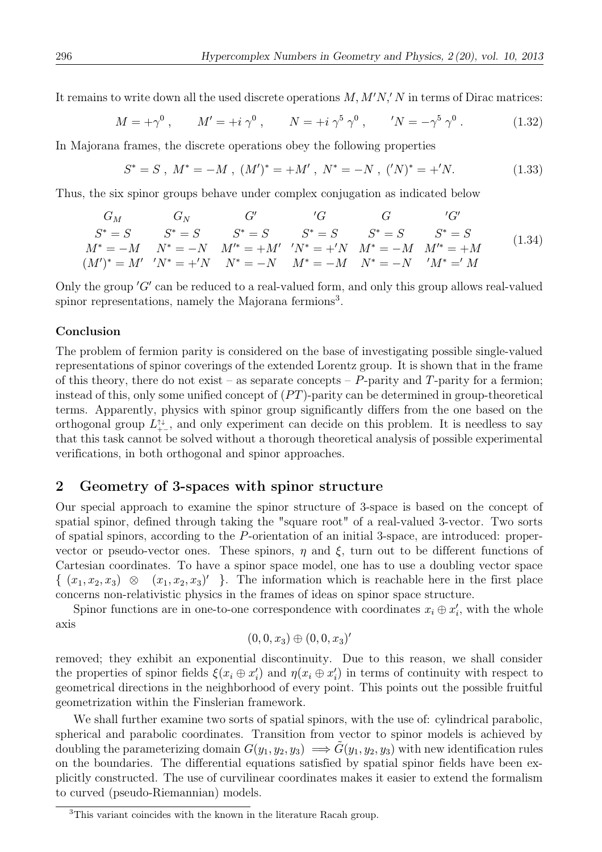It remains to write down all the used discrete operations  $M, M'N, N'$  in terms of Dirac matrices:

$$
M = +\gamma^{0}, \qquad M' = +i\,\gamma^{0}, \qquad N = +i\,\gamma^{5}\,\gamma^{0}, \qquad'N = -\gamma^{5}\,\gamma^{0}.
$$
 (1.32)

In Majorana frames, the discrete operations obey the following properties

$$
S^* = S \ , \ M^* = -M \ , \ (M')^* = +M' \ , \ N^* = -N \ , \ (^{\prime}N)^* = +^{\prime}N. \tag{1.33}
$$

Thus, the six spinor groups behave under complex conjugation as indicated below

$$
G_M \t G_N \t G' \t G' \t G \t G'
$$
  
\n
$$
S^* = S \t S^* = S \t S^* = S \t S^* = S \t S^* = S \t S^* = S
$$
  
\n
$$
M^* = -M \t N^* = -N \t M'^* = +M' \t N^* = +'N \t M^* = -M \t M'^* = +M
$$
  
\n
$$
(M')^* = M' \t N^* = +'N \t N^* = -N \t M^* = -M \t N^* = -N \t M^* ='M
$$
  
\n(1.34)

Only the group  $'G'$  can be reduced to a real-valued form, and only this group allows real-valued spinor representations, namely the Majorana fermions<sup>3</sup>.

### Conclusion

The problem of fermion parity is considered on the base of investigating possible single-valued representations of spinor coverings of the extended Lorentz group. It is shown that in the frame of this theory, there do not exist – as separate concepts –  $P$ -parity and  $T$ -parity for a fermion; instead of this, only some unified concept of  $(PT)$ -parity can be determined in group-theoretical terms. Apparently, physics with spinor group significantly differs from the one based on the orthogonal group  $L_{++}^{\uparrow\downarrow}$ , and only experiment can decide on this problem. It is needless to say that this task cannot be solved without a thorough theoretical analysis of possible experimental verifications, in both orthogonal and spinor approaches.

## 2 Geometry of 3-spaces with spinor structure

Our special approach to examine the spinor structure of 3-space is based on the concept of spatial spinor, defined through taking the "square root" of a real-valued 3-vector. Two sorts of spatial spinors, according to the P-orientation of an initial 3-space, are introduced: propervector or pseudo-vector ones. These spinors,  $\eta$  and  $\xi$ , turn out to be different functions of Cartesian coordinates. To have a spinor space model, one has to use a doubling vector space  $\{ (x_1, x_2, x_3) \otimes (x_1, x_2, x_3)' \}$ . The information which is reachable here in the first place concerns non-relativistic physics in the frames of ideas on spinor space structure.

Spinor functions are in one-to-one correspondence with coordinates  $x_i \oplus x'_i$ , with the whole axis

$$
(0,0,x_3)\oplus (0,0,x_3)'
$$

removed; they exhibit an exponential discontinuity. Due to this reason, we shall consider the properties of spinor fields  $\xi(x_i \oplus x'_i)$  and  $\eta(x_i \oplus x'_i)$  in terms of continuity with respect to geometrical directions in the neighborhood of every point. This points out the possible fruitful geometrization within the Finslerian framework.

We shall further examine two sorts of spatial spinors, with the use of: cylindrical parabolic, spherical and parabolic coordinates. Transition from vector to spinor models is achieved by doubling the parameterizing domain  $G(y_1, y_2, y_3) \implies \tilde{G}(y_1, y_2, y_3)$  with new identification rules on the boundaries. The differential equations satisfied by spatial spinor fields have been explicitly constructed. The use of curvilinear coordinates makes it easier to extend the formalism to curved (pseudo-Riemannian) models.

<sup>&</sup>lt;sup>3</sup>This variant coincides with the known in the literature Racah group.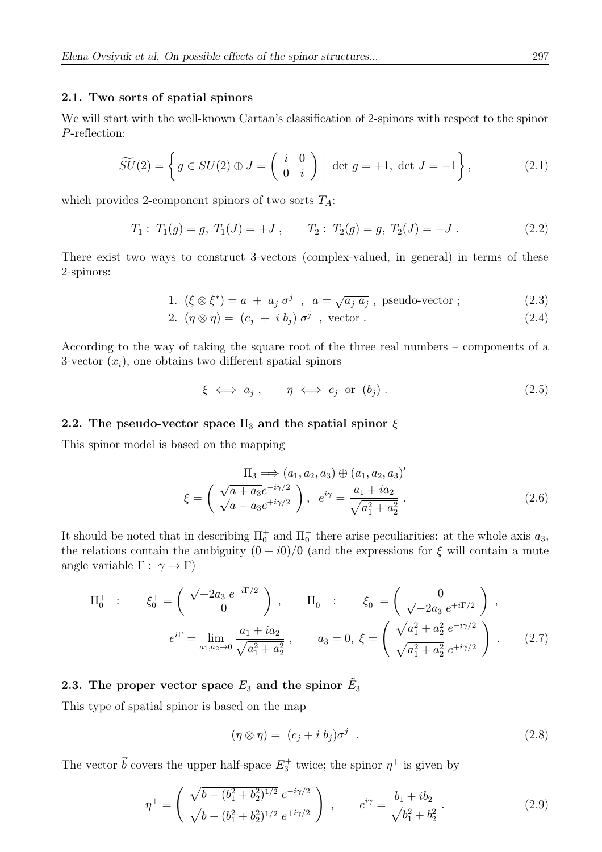### 2.1. Two sorts of spatial spinors

We will start with the well-known Cartan's classification of 2-spinors with respect to the spinor P-reflection:

$$
\widetilde{SU}(2) = \left\{ g \in SU(2) \oplus J = \left( \begin{array}{cc} i & 0 \\ 0 & i \end{array} \right) \middle| \det g = +1, \det J = -1 \right\},\tag{2.1}
$$

which provides 2-component spinors of two sorts  $T_A$ :

$$
T_1: T_1(g) = g, T_1(J) = +J, \qquad T_2: T_2(g) = g, T_2(J) = -J.
$$
 (2.2)

There exist two ways to construct 3-vectors (complex-valued, in general) in terms of these 2-spinors:

1. 
$$
(\xi \otimes \xi^*) = a + a_j \sigma^j
$$
,  $a = \sqrt{a_j a_j}$ , pseudo-vector ; (2.3)

$$
2. \quad (\eta \otimes \eta) = (c_j + i b_j) \sigma^j \quad \text{vector} \tag{2.4}
$$

According to the way of taking the square root of the three real numbers – components of a 3-vector  $(x_i)$ , one obtains two different spatial spinors

$$
\xi \iff a_j \; , \qquad \eta \iff c_j \text{ or } (b_j) \; . \tag{2.5}
$$

### 2.2. The pseudo-vector space  $\Pi_3$  and the spatial spinor  $\xi$

This spinor model is based on the mapping

$$
\Pi_3 \Longrightarrow (a_1, a_2, a_3) \oplus (a_1, a_2, a_3)'
$$
  

$$
\xi = \left(\frac{\sqrt{a + a_3}e^{-i\gamma/2}}{\sqrt{a - a_3}e^{+i\gamma/2}}\right), e^{i\gamma} = \frac{a_1 + ia_2}{\sqrt{a_1^2 + a_2^2}}.
$$
 (2.6)

It should be noted that in describing  $\Pi_0^+$  and  $\Pi_0^-$  there arise peculiarities: at the whole axis  $a_3$ , the relations contain the ambiguity  $(0 + i0)/0$  (and the expressions for  $\xi$  will contain a mute angle variable  $\Gamma : \gamma \to \Gamma$ )

$$
\Pi_0^+ : \xi_0^+ = \begin{pmatrix} \sqrt{2a_3} \, e^{-i\Gamma/2} \\ 0 \end{pmatrix}, \qquad \Pi_0^- : \xi_0^- = \begin{pmatrix} 0 \\ \sqrt{-2a_3} \, e^{+i\Gamma/2} \end{pmatrix},
$$
  

$$
e^{i\Gamma} = \lim_{a_1, a_2 \to 0} \frac{a_1 + ia_2}{\sqrt{a_1^2 + a_2^2}}, \qquad a_3 = 0, \xi = \begin{pmatrix} \sqrt{a_1^2 + a_2^2} \, e^{-i\gamma/2} \\ \sqrt{a_1^2 + a_2^2} \, e^{+i\gamma/2} \end{pmatrix}.
$$
 (2.7)

## 2.3. The proper vector space  $E_3$  and the spinor  $\tilde{E}_3$

This type of spatial spinor is based on the map

$$
(\eta \otimes \eta) = (c_j + i b_j)\sigma^j . \qquad (2.8)
$$

The vector  $\vec{b}$  covers the upper half-space  $E_3^+$  twice; the spinor  $\eta^+$  is given by

$$
\eta^+ = \begin{pmatrix} \sqrt{b - (b_1^2 + b_2^2)^{1/2}} e^{-i\gamma/2} \\ \sqrt{b - (b_1^2 + b_2^2)^{1/2}} e^{+i\gamma/2} \end{pmatrix} , \qquad e^{i\gamma} = \frac{b_1 + ib_2}{\sqrt{b_1^2 + b_2^2}} . \tag{2.9}
$$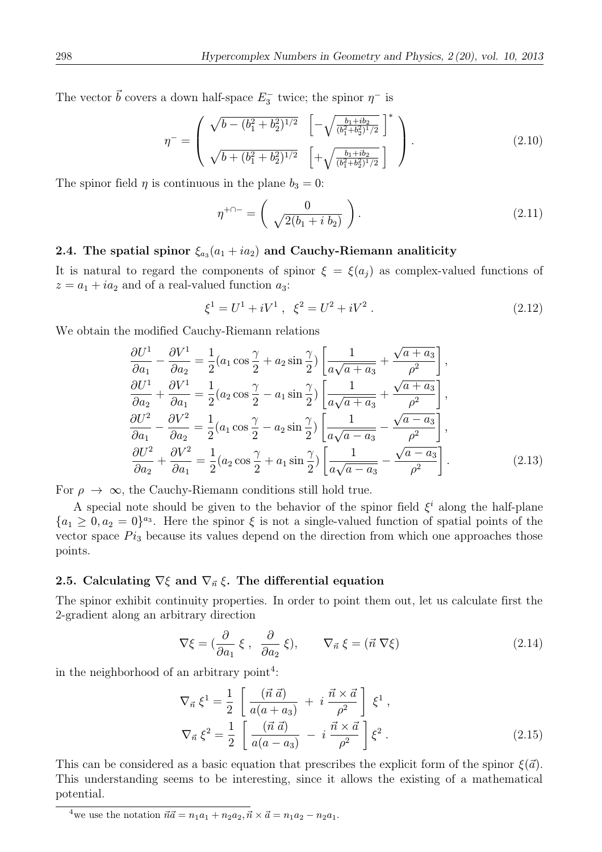The vector  $\vec{b}$  covers a down half-space  $E_3^-$  twice; the spinor  $\eta^-$  is

$$
\eta^{-} = \begin{pmatrix} \sqrt{b - (b_1^2 + b_2^2)^{1/2}} & \left[ -\sqrt{\frac{b_1 + ib_2}{(b_1^2 + b_2^2)^{1/2}}} \right]^* \\ \sqrt{b + (b_1^2 + b_2^2)^{1/2}} & \left[ +\sqrt{\frac{b_1 + ib_2}{(b_1^2 + b_2^2)^{1/2}}} \right] \end{pmatrix} . \tag{2.10}
$$

The spinor field  $\eta$  is continuous in the plane  $b_3 = 0$ :

$$
\eta^{+\cap -} = \left(\begin{array}{c} 0\\ \sqrt{2(b_1 + i b_2)} \end{array}\right). \tag{2.11}
$$

## 2.4. The spatial spinor  $\xi_{a_3}(a_1 + i a_2)$  and Cauchy-Riemann analiticity

It is natural to regard the components of spinor  $\xi = \xi(a_i)$  as complex-valued functions of  $z = a_1 + ia_2$  and of a real-valued function  $a_3$ :

$$
\xi^1 = U^1 + iV^1 \ , \ \xi^2 = U^2 + iV^2 \ . \tag{2.12}
$$

We obtain the modified Cauchy-Riemann relations

$$
\frac{\partial U^1}{\partial a_1} - \frac{\partial V^1}{\partial a_2} = \frac{1}{2} (a_1 \cos \frac{\gamma}{2} + a_2 \sin \frac{\gamma}{2}) \left[ \frac{1}{a\sqrt{a+a_3}} + \frac{\sqrt{a+a_3}}{\rho^2} \right],
$$
  
\n
$$
\frac{\partial U^1}{\partial a_2} + \frac{\partial V^1}{\partial a_1} = \frac{1}{2} (a_2 \cos \frac{\gamma}{2} - a_1 \sin \frac{\gamma}{2}) \left[ \frac{1}{a\sqrt{a+a_3}} + \frac{\sqrt{a+a_3}}{\rho^2} \right],
$$
  
\n
$$
\frac{\partial U^2}{\partial a_1} - \frac{\partial V^2}{\partial a_2} = \frac{1}{2} (a_1 \cos \frac{\gamma}{2} - a_2 \sin \frac{\gamma}{2}) \left[ \frac{1}{a\sqrt{a-a_3}} - \frac{\sqrt{a-a_3}}{\rho^2} \right],
$$
  
\n
$$
\frac{\partial U^2}{\partial a_2} + \frac{\partial V^2}{\partial a_1} = \frac{1}{2} (a_2 \cos \frac{\gamma}{2} + a_1 \sin \frac{\gamma}{2}) \left[ \frac{1}{a\sqrt{a-a_3}} - \frac{\sqrt{a-a_3}}{\rho^2} \right].
$$
\n(2.13)

For  $\rho \to \infty$ , the Cauchy-Riemann conditions still hold true.

A special note should be given to the behavior of the spinor field  $\xi^i$  along the half-plane  ${a_1 \geq 0, a_2 = 0}^{a_3}$ . Here the spinor  $\xi$  is not a single-valued function of spatial points of the vector space  $Pi_3$  because its values depend on the direction from which one approaches those points.

## 2.5. Calculating  $\nabla \xi$  and  $\nabla_{\vec{n}} \xi$ . The differential equation

The spinor exhibit continuity properties. In order to point them out, let us calculate first the 2-gradient along an arbitrary direction

$$
\nabla \xi = \left(\frac{\partial}{\partial a_1} \xi \,, \, \frac{\partial}{\partial a_2} \xi\right), \qquad \nabla_{\vec{n}} \xi = \left(\vec{n} \,\nabla \xi\right) \tag{2.14}
$$

in the neighborhood of an arbitrary point<sup>4</sup>:

$$
\nabla_{\vec{n}} \xi^{1} = \frac{1}{2} \left[ \frac{(\vec{n} \; \vec{a})}{a(a+a_{3})} + i \frac{\vec{n} \times \vec{a}}{\rho^{2}} \right] \xi^{1},
$$
  
\n
$$
\nabla_{\vec{n}} \xi^{2} = \frac{1}{2} \left[ \frac{(\vec{n} \; \vec{a})}{a(a-a_{3})} - i \frac{\vec{n} \times \vec{a}}{\rho^{2}} \right] \xi^{2}.
$$
\n(2.15)

This can be considered as a basic equation that prescribes the explicit form of the spinor  $\xi(\vec{a})$ . This understanding seems to be interesting, since it allows the existing of a mathematical potential.

<sup>&</sup>lt;sup>4</sup>we use the notation  $\vec{n}\vec{a} = n_1a_1 + n_2a_2, \vec{n} \times \vec{a} = n_1a_2 - n_2a_1.$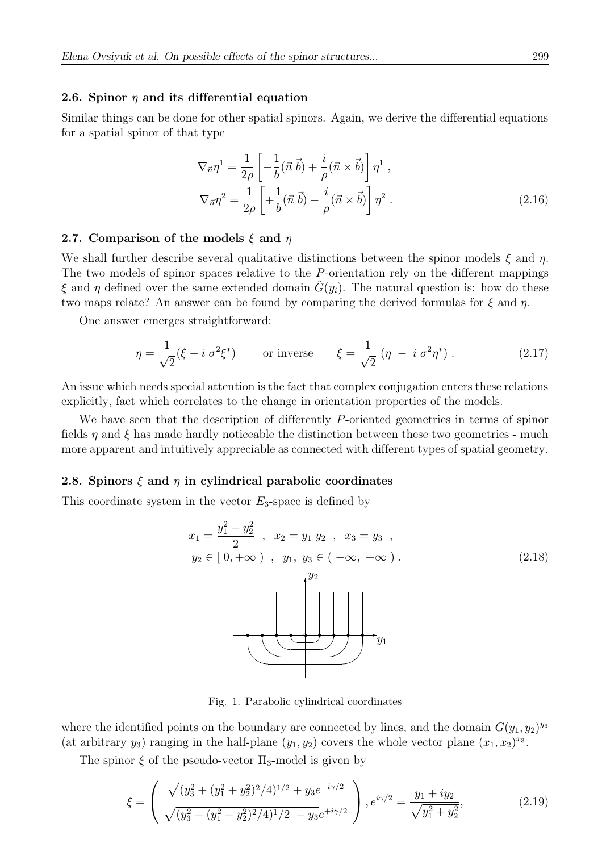#### 2.6. Spinor  $\eta$  and its differential equation

Similar things can be done for other spatial spinors. Again, we derive the differential equations for a spatial spinor of that type

$$
\nabla_{\vec{n}} \eta^1 = \frac{1}{2\rho} \left[ -\frac{1}{b} (\vec{n} \ \vec{b}) + \frac{i}{\rho} (\vec{n} \times \vec{b}) \right] \eta^1 ,
$$
  

$$
\nabla_{\vec{n}} \eta^2 = \frac{1}{2\rho} \left[ +\frac{1}{b} (\vec{n} \ \vec{b}) - \frac{i}{\rho} (\vec{n} \times \vec{b}) \right] \eta^2 .
$$
 (2.16)

#### 2.7. Comparison of the models  $\xi$  and  $\eta$

We shall further describe several qualitative distinctions between the spinor models  $\xi$  and  $\eta$ . The two models of spinor spaces relative to the P-orientation rely on the different mappings  $\xi$  and  $\eta$  defined over the same extended domain  $\tilde{G}(y_i)$ . The natural question is: how do these two maps relate? An answer can be found by comparing the derived formulas for  $\xi$  and  $\eta$ .

One answer emerges straightforward:

$$
\eta = \frac{1}{\sqrt{2}} (\xi - i \sigma^2 \xi^*) \qquad \text{or inverse} \qquad \xi = \frac{1}{\sqrt{2}} (\eta - i \sigma^2 \eta^*) \,. \tag{2.17}
$$

An issue which needs special attention is the fact that complex conjugation enters these relations explicitly, fact which correlates to the change in orientation properties of the models.

We have seen that the description of differently P-oriented geometries in terms of spinor fields  $\eta$  and  $\xi$  has made hardly noticeable the distinction between these two geometries - much more apparent and intuitively appreciable as connected with different types of spatial geometry.

### 2.8. Spinors  $\xi$  and  $\eta$  in cylindrical parabolic coordinates

This coordinate system in the vector  $E_3$ -space is defined by

$$
x_{1} = \frac{y_{1}^{2} - y_{2}^{2}}{2} , x_{2} = y_{1} y_{2} , x_{3} = y_{3} ,
$$
  
\n
$$
y_{2} \in [0, +\infty) , y_{1}, y_{3} \in (-\infty, +\infty) .
$$
  
\n(2.18)

Fig. 1. Parabolic cylindrical coordinates

where the identified points on the boundary are connected by lines, and the domain  $G(y_1, y_2)^{y_3}$ (at arbitrary  $y_3$ ) ranging in the half-plane  $(y_1, y_2)$  covers the whole vector plane  $(x_1, x_2)^{x_3}$ .

The spinor  $\xi$  of the pseudo-vector  $\Pi_3$ -model is given by

$$
\xi = \left( \frac{\sqrt{(y_3^2 + (y_1^2 + y_2^2)^2/4)^{1/2} + y_3} e^{-i\gamma/2}}{\sqrt{(y_3^2 + (y_1^2 + y_2^2)^2/4)^{1/2} - y_3} e^{+i\gamma/2}} \right), e^{i\gamma/2} = \frac{y_1 + iy_2}{\sqrt{y_1^2 + y_2^2}},
$$
(2.19)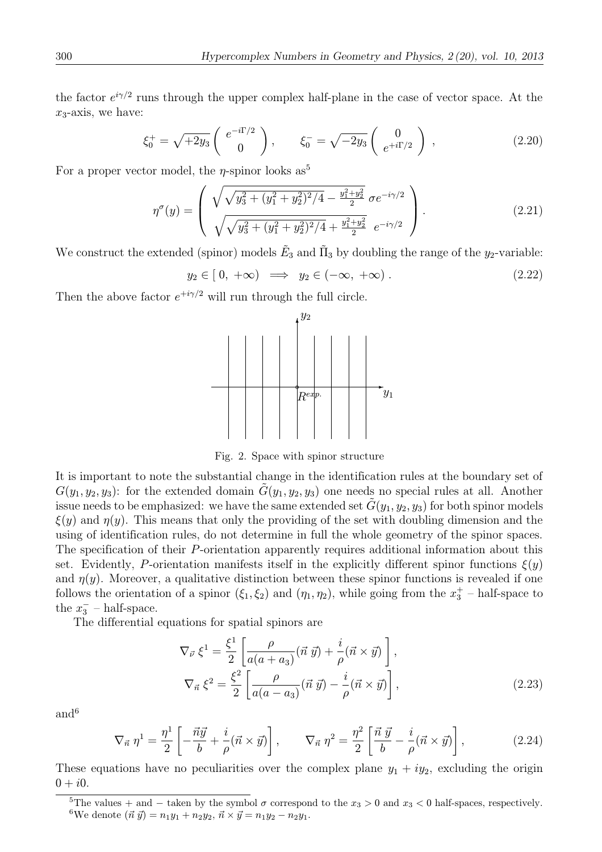the factor  $e^{i\gamma/2}$  runs through the upper complex half-plane in the case of vector space. At the  $x_3$ -axis, we have:

$$
\xi_0^+ = \sqrt{+2y_3} \begin{pmatrix} e^{-i\Gamma/2} \\ 0 \end{pmatrix}, \qquad \xi_0^- = \sqrt{-2y_3} \begin{pmatrix} 0 \\ e^{+i\Gamma/2} \end{pmatrix}, \tag{2.20}
$$

For a proper vector model, the  $\eta$ -spinor looks as<sup>5</sup>

$$
\eta^{\sigma}(y) = \begin{pmatrix} \sqrt{\sqrt{y_3^2 + (y_1^2 + y_2^2)^2/4} - \frac{y_1^2 + y_2^2}{2}} \sigma e^{-i\gamma/2} \\ \sqrt{\sqrt{y_3^2 + (y_1^2 + y_2^2)^2/4} + \frac{y_1^2 + y_2^2}{2}} \sigma e^{-i\gamma/2} \end{pmatrix} .
$$
\n(2.21)

We construct the extended (spinor) models  $\tilde{E}_3$  and  $\tilde{\Pi}_3$  by doubling the range of the  $y_2$ -variable:

$$
y_2 \in [0, +\infty) \implies y_2 \in (-\infty, +\infty). \tag{2.22}
$$

Then the above factor  $e^{+i\gamma/2}$  will run through the full circle.



Fig. 2. Space with spinor structure

It is important to note the substantial change in the identification rules at the boundary set of  $G(y_1, y_2, y_3)$ : for the extended domain  $\tilde{G}(y_1, y_2, y_3)$  one needs no special rules at all. Another issue needs to be emphasized: we have the same extended set  $\tilde{G}(y_1, y_2, y_3)$  for both spinor models  $\xi(y)$  and  $\eta(y)$ . This means that only the providing of the set with doubling dimension and the using of identification rules, do not determine in full the whole geometry of the spinor spaces. The specification of their P-orientation apparently requires additional information about this set. Evidently, P-orientation manifests itself in the explicitly different spinor functions  $\xi(y)$ and  $\eta(y)$ . Moreover, a qualitative distinction between these spinor functions is revealed if one follows the orientation of a spinor  $(\xi_1, \xi_2)$  and  $(\eta_1, \eta_2)$ , while going from the  $x_3^+$  – half-space to the  $x_3^-$  – half-space.

The differential equations for spatial spinors are

$$
\nabla_{\vec{v}} \xi^{1} = \frac{\xi^{1}}{2} \left[ \frac{\rho}{a(a+a_{3})} (\vec{n} \ \vec{y}) + \frac{i}{\rho} (\vec{n} \times \vec{y}) \right],
$$
  

$$
\nabla_{\vec{n}} \xi^{2} = \frac{\xi^{2}}{2} \left[ \frac{\rho}{a(a-a_{3})} (\vec{n} \ \vec{y}) - \frac{i}{\rho} (\vec{n} \times \vec{y}) \right],
$$
 (2.23)

and<sup>6</sup>

$$
\nabla_{\vec{n}} \eta^1 = \frac{\eta^1}{2} \left[ -\frac{\vec{n}\vec{y}}{b} + \frac{i}{\rho} (\vec{n} \times \vec{y}) \right], \qquad \nabla_{\vec{n}} \eta^2 = \frac{\eta^2}{2} \left[ \frac{\vec{n}\,\vec{y}}{b} - \frac{i}{\rho} (\vec{n} \times \vec{y}) \right], \tag{2.24}
$$

These equations have no peculiarities over the complex plane  $y_1 + iy_2$ , excluding the origin  $0 + i0.$ 

<sup>&</sup>lt;sup>5</sup>The values + and − taken by the symbol  $\sigma$  correspond to the  $x_3 > 0$  and  $x_3 < 0$  half-spaces, respectively. <sup>6</sup>We denote  $(\vec{n} ~ \vec{y}) = n_1y_1 + n_2y_2, \, \vec{n} \times \vec{y} = n_1y_2 - n_2y_1.$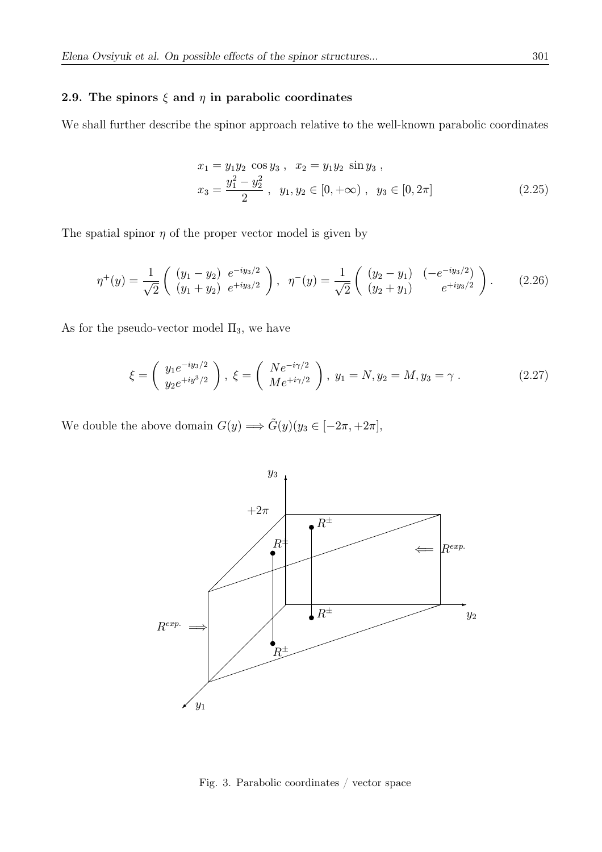## 2.9. The spinors  $\xi$  and  $\eta$  in parabolic coordinates

We shall further describe the spinor approach relative to the well-known parabolic coordinates

$$
x_1 = y_1 y_2 \cos y_3, \quad x_2 = y_1 y_2 \sin y_3,
$$
  
\n
$$
x_3 = \frac{y_1^2 - y_2^2}{2}, \quad y_1, y_2 \in [0, +\infty), \quad y_3 \in [0, 2\pi]
$$
\n(2.25)

The spatial spinor  $\eta$  of the proper vector model is given by

$$
\eta^+(y) = \frac{1}{\sqrt{2}} \begin{pmatrix} (y_1 - y_2) & e^{-iy_3/2} \\ (y_1 + y_2) & e^{+iy_3/2} \end{pmatrix}, \quad \eta^-(y) = \frac{1}{\sqrt{2}} \begin{pmatrix} (y_2 - y_1) & (-e^{-iy_3/2}) \\ (y_2 + y_1) & e^{+iy_3/2} \end{pmatrix}.
$$
 (2.26)

As for the pseudo-vector model  $\Pi_3,$  we have

$$
\xi = \left(\begin{array}{c} y_1 e^{-iy_3/2} \\ y_2 e^{+iy_3/2} \end{array}\right), \ \xi = \left(\begin{array}{c} Ne^{-i\gamma/2} \\ Me^{+i\gamma/2} \end{array}\right), \ y_1 = N, y_2 = M, y_3 = \gamma. \tag{2.27}
$$

We double the above domain  $G(y) \Longrightarrow \tilde{G}(y)(y_3 \in [-2\pi, +2\pi],$ 



Fig. 3. Parabolic coordinates / vector space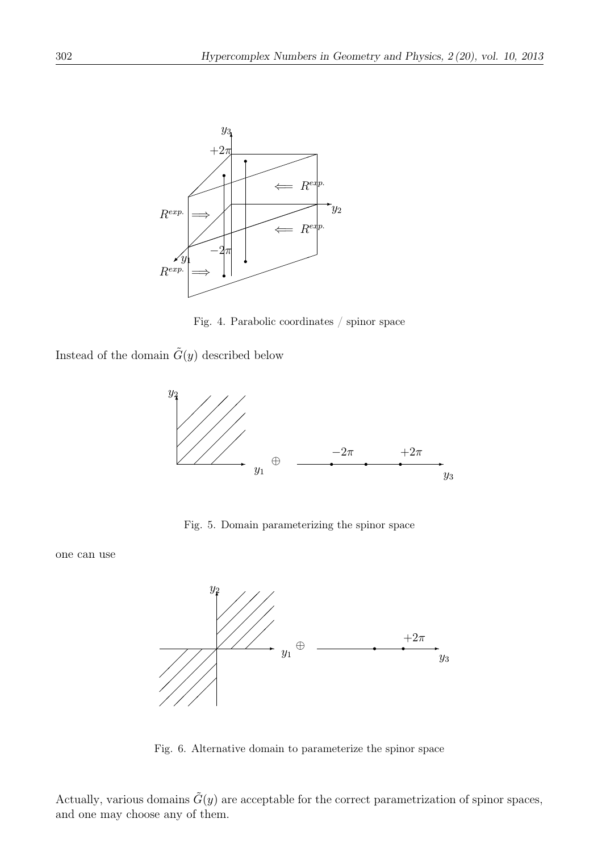

Fig. 4. Parabolic coordinates / spinor space

Instead of the domain  $\tilde{G}(y)$  described below



Fig. 5. Domain parameterizing the spinor space

one can use



Fig. 6. Alternative domain to parameterize the spinor space

Actually, various domains  $\tilde{G}(y)$  are acceptable for the correct parametrization of spinor spaces, and one may choose any of them.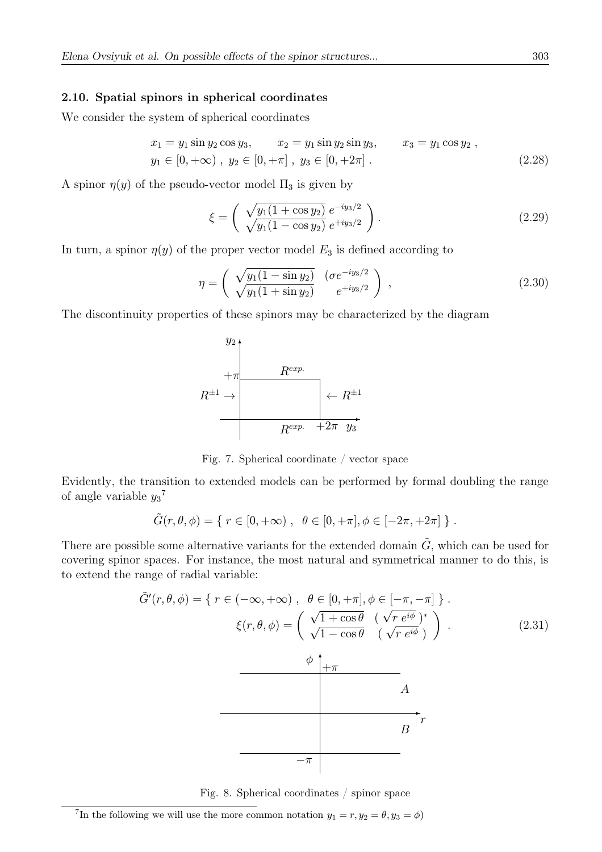#### 2.10. Spatial spinors in spherical coordinates

We consider the system of spherical coordinates

$$
x_1 = y_1 \sin y_2 \cos y_3, \qquad x_2 = y_1 \sin y_2 \sin y_3, \qquad x_3 = y_1 \cos y_2 ,
$$
  
\n
$$
y_1 \in [0, +\infty), y_2 \in [0, +\pi], y_3 \in [0, +2\pi].
$$
 (2.28)

A spinor  $\eta(y)$  of the pseudo-vector model  $\Pi_3$  is given by

$$
\xi = \left(\begin{array}{c} \sqrt{y_1(1+\cos y_2)} \ e^{-iy_3/2} \\ \sqrt{y_1(1-\cos y_2)} \ e^{+iy_3/2} \end{array}\right). \tag{2.29}
$$

In turn, a spinor  $\eta(y)$  of the proper vector model  $E_3$  is defined according to

$$
\eta = \left(\begin{array}{cc} \sqrt{y_1(1-\sin y_2)} & (\sigma e^{-iy_3/2}) \\ \sqrt{y_1(1+\sin y_2)} & e^{+iy_3/2} \end{array}\right) , \qquad (2.30)
$$

The discontinuity properties of these spinors may be characterized by the diagram



Fig. 7. Spherical coordinate / vector space

Evidently, the transition to extended models can be performed by formal doubling the range of angle variable  $y_3$ <sup>7</sup>

$$
\tilde{G}(r,\theta,\phi) = \{ r \in [0,+\infty) , \ \theta \in [0,+\pi], \phi \in [-2\pi, +2\pi] \} .
$$

There are possible some alternative variants for the extended domain  $\tilde{G}$ , which can be used for covering spinor spaces. For instance, the most natural and symmetrical manner to do this, is to extend the range of radial variable:

$$
\tilde{G}'(r,\theta,\phi) = \{ r \in (-\infty, +\infty) , \ \theta \in [0, +\pi], \phi \in [-\pi, -\pi] \}.
$$
\n
$$
\xi(r,\theta,\phi) = \begin{pmatrix}\n\sqrt{1 + \cos\theta} & (\sqrt{r}e^{i\phi})^* \\
\sqrt{1 - \cos\theta} & (\sqrt{r}e^{i\phi})\n\end{pmatrix}.
$$
\n
$$
\phi \downarrow_{+\pi}
$$
\nA\n
$$
\sigma
$$



<sup>&</sup>lt;sup>7</sup>In the following we will use the more common notation  $y_1 = r, y_2 = \theta, y_3 = \phi$ )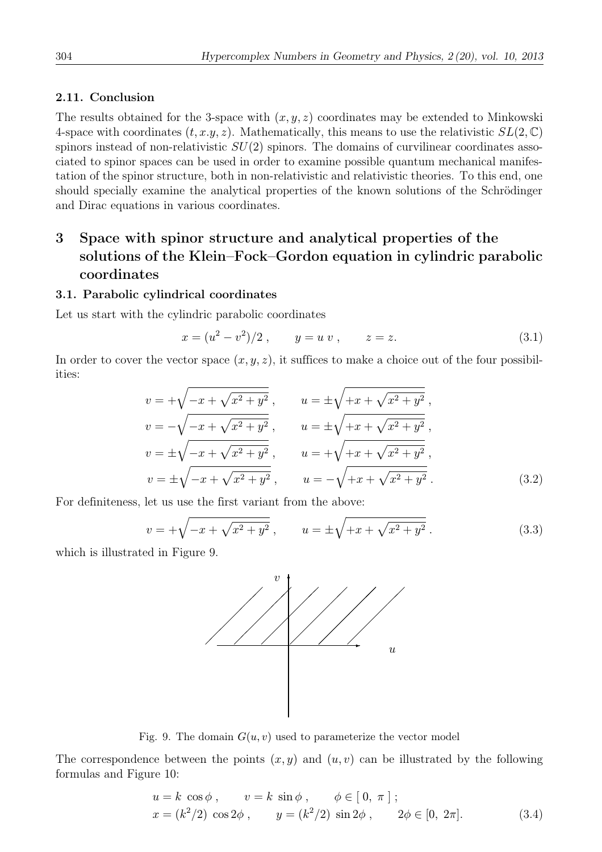## 2.11. Conclusion

The results obtained for the 3-space with  $(x, y, z)$  coordinates may be extended to Minkowski 4-space with coordinates  $(t, x, y, z)$ . Mathematically, this means to use the relativistic  $SL(2, \mathbb{C})$ spinors instead of non-relativistic  $SU(2)$  spinors. The domains of curvilinear coordinates associated to spinor spaces can be used in order to examine possible quantum mechanical manifestation of the spinor structure, both in non-relativistic and relativistic theories. To this end, one should specially examine the analytical properties of the known solutions of the Schrödinger and Dirac equations in various coordinates.

# 3 Space with spinor structure and analytical properties of the solutions of the Klein–Fock–Gordon equation in cylindric parabolic coordinates

## 3.1. Parabolic cylindrical coordinates

Let us start with the cylindric parabolic coordinates

$$
x = (u2 - v2)/2 , \t y = u v , \t z = z.
$$
\t(3.1)

In order to cover the vector space  $(x, y, z)$ , it suffices to make a choice out of the four possibilities:

$$
v = +\sqrt{-x + \sqrt{x^2 + y^2}}, \qquad u = \pm \sqrt{+x + \sqrt{x^2 + y^2}},
$$
  
\n
$$
v = -\sqrt{-x + \sqrt{x^2 + y^2}}, \qquad u = \pm \sqrt{+x + \sqrt{x^2 + y^2}},
$$
  
\n
$$
v = \pm \sqrt{-x + \sqrt{x^2 + y^2}}, \qquad u = +\sqrt{+x + \sqrt{x^2 + y^2}},
$$
  
\n
$$
v = \pm \sqrt{-x + \sqrt{x^2 + y^2}}, \qquad u = -\sqrt{+x + \sqrt{x^2 + y^2}}.
$$
  
\n(3.2)

For definiteness, let us use the first variant from the above:

$$
v = +\sqrt{-x + \sqrt{x^2 + y^2}} \,, \qquad u = \pm \sqrt{+x + \sqrt{x^2 + y^2}} \,. \tag{3.3}
$$

which is illustrated in Figure 9.



Fig. 9. The domain  $G(u, v)$  used to parameterize the vector model

The correspondence between the points  $(x, y)$  and  $(u, v)$  can be illustrated by the following formulas and Figure 10:

$$
u = k \cos \phi , \qquad v = k \sin \phi , \qquad \phi \in [0, \pi];
$$
  

$$
x = (k^2/2) \cos 2\phi , \qquad y = (k^2/2) \sin 2\phi , \qquad 2\phi \in [0, 2\pi].
$$
 (3.4)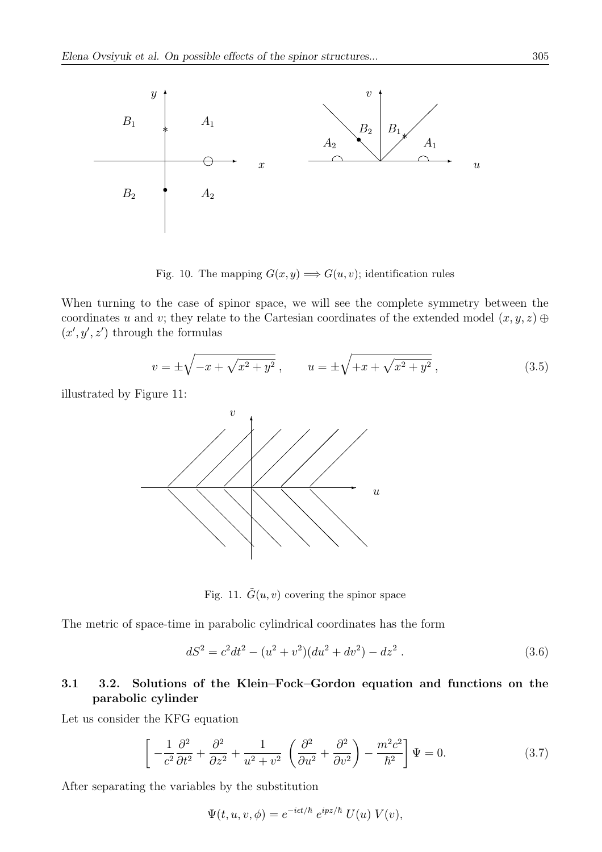

Fig. 10. The mapping  $G(x, y) \Longrightarrow G(u, v)$ ; identification rules

When turning to the case of spinor space, we will see the complete symmetry between the coordinates u and v; they relate to the Cartesian coordinates of the extended model  $(x, y, z) \oplus$  $(x', y', z')$  through the formulas

$$
v = \pm \sqrt{-x + \sqrt{x^2 + y^2}} \,, \qquad u = \pm \sqrt{+x + \sqrt{x^2 + y^2}} \,, \tag{3.5}
$$

illustrated by Figure 11:



Fig. 11.  $\tilde{G}(u, v)$  covering the spinor space

The metric of space-time in parabolic cylindrical coordinates has the form

$$
dS2 = c2dt2 - (u2 + v2)(du2 + dv2) - dz2.
$$
 (3.6)

## 3.1 3.2. Solutions of the Klein–Fock–Gordon equation and functions on the parabolic cylinder

Let us consider the KFG equation

$$
\left[ -\frac{1}{c^2} \frac{\partial^2}{\partial t^2} + \frac{\partial^2}{\partial z^2} + \frac{1}{u^2 + v^2} \left( \frac{\partial^2}{\partial u^2} + \frac{\partial^2}{\partial v^2} \right) - \frac{m^2 c^2}{\hbar^2} \right] \Psi = 0.
$$
 (3.7)

After separating the variables by the substitution

$$
\Psi(t, u, v, \phi) = e^{-i\epsilon t/\hbar} e^{ipz/\hbar} U(u) V(v),
$$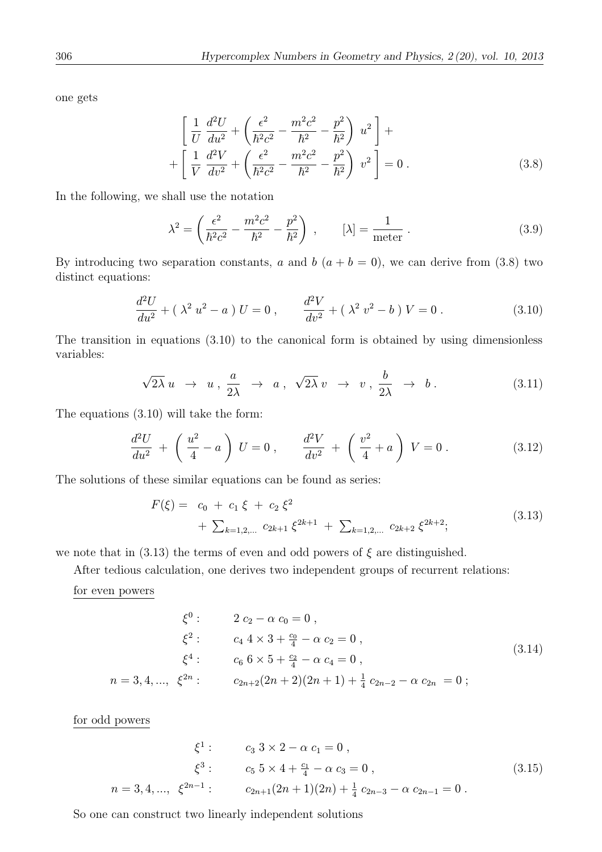one gets

$$
\left[ \frac{1}{U} \frac{d^2 U}{du^2} + \left( \frac{\epsilon^2}{\hbar^2 c^2} - \frac{m^2 c^2}{\hbar^2} - \frac{p^2}{\hbar^2} \right) u^2 \right] + \n+ \left[ \frac{1}{V} \frac{d^2 V}{dv^2} + \left( \frac{\epsilon^2}{\hbar^2 c^2} - \frac{m^2 c^2}{\hbar^2} - \frac{p^2}{\hbar^2} \right) v^2 \right] = 0.
$$
\n(3.8)

In the following, we shall use the notation

$$
\lambda^2 = \left(\frac{\epsilon^2}{\hbar^2 c^2} - \frac{m^2 c^2}{\hbar^2} - \frac{p^2}{\hbar^2}\right) , \qquad [\lambda] = \frac{1}{\text{meter}} . \tag{3.9}
$$

By introducing two separation constants, a and b  $(a + b = 0)$ , we can derive from (3.8) two distinct equations:

$$
\frac{d^2U}{du^2} + (\lambda^2 u^2 - a) U = 0 , \qquad \frac{d^2V}{dv^2} + (\lambda^2 v^2 - b) V = 0 . \qquad (3.10)
$$

The transition in equations (3.10) to the canonical form is obtained by using dimensionless variables:

$$
\sqrt{2\lambda} u \rightarrow u, \frac{a}{2\lambda} \rightarrow a, \sqrt{2\lambda} v \rightarrow v, \frac{b}{2\lambda} \rightarrow b. \tag{3.11}
$$

The equations (3.10) will take the form:

$$
\frac{d^2U}{du^2} + \left(\frac{u^2}{4} - a\right)U = 0, \qquad \frac{d^2V}{dv^2} + \left(\frac{v^2}{4} + a\right)V = 0.
$$
 (3.12)

The solutions of these similar equations can be found as series:

$$
F(\xi) = c_0 + c_1 \xi + c_2 \xi^2 + \sum_{k=1,2,...} c_{2k+1} \xi^{2k+1} + \sum_{k=1,2,...} c_{2k+2} \xi^{2k+2};
$$
\n(3.13)

we note that in (3.13) the terms of even and odd powers of  $\xi$  are distinguished.

After tedious calculation, one derives two independent groups of recurrent relations:

for even powers

$$
\xi^{0}: \qquad 2 c_{2} - \alpha c_{0} = 0 ,
$$
  

$$
\xi^{2}: \qquad c_{4} 4 \times 3 + \frac{c_{0}}{4} - \alpha c_{2} = 0 ,
$$
  

$$
\xi^{4}: \qquad c_{6} 6 \times 5 + \frac{c_{2}}{4} - \alpha c_{4} = 0 ,
$$
  

$$
n = 3, 4, ..., \xi^{2n}: \qquad c_{2n+2}(2n+2)(2n+1) + \frac{1}{4} c_{2n-2} - \alpha c_{2n} = 0 ;
$$
  
(3.14)

for odd powers

$$
\xi^{1}: \qquad c_{3} 3 \times 2 - \alpha \ c_{1} = 0 ,
$$
  

$$
\xi^{3}: \qquad c_{5} 5 \times 4 + \frac{c_{1}}{4} - \alpha \ c_{3} = 0 ,
$$
  

$$
n = 3, 4, ..., \xi^{2n-1}: \qquad c_{2n+1}(2n+1)(2n) + \frac{1}{4} c_{2n-3} - \alpha \ c_{2n-1} = 0 .
$$
 (3.15)

So one can construct two linearly independent solutions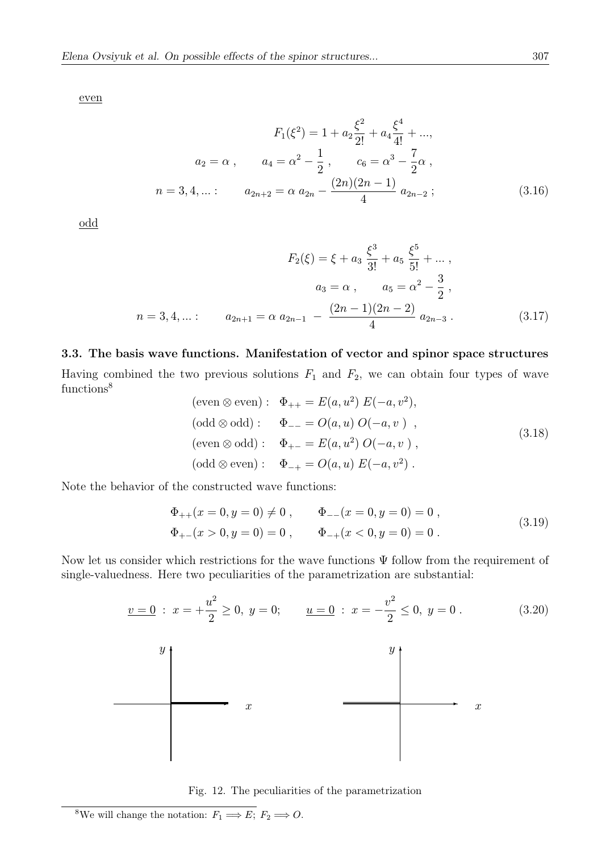even

$$
F_1(\xi^2) = 1 + a_2 \frac{\xi^2}{2!} + a_4 \frac{\xi^4}{4!} + ...,
$$
  
\n
$$
a_2 = \alpha \,, \qquad a_4 = \alpha^2 - \frac{1}{2} \,, \qquad c_6 = \alpha^3 - \frac{7}{2} \alpha \,,
$$
  
\n
$$
n = 3, 4, ... : \qquad a_{2n+2} = \alpha \, a_{2n} - \frac{(2n)(2n-1)}{4} \, a_{2n-2} \, ; \tag{3.16}
$$

odd

$$
F_2(\xi) = \xi + a_3 \frac{\xi^3}{3!} + a_5 \frac{\xi^5}{5!} + \dots,
$$
  
\n
$$
a_3 = \alpha , \qquad a_5 = \alpha^2 - \frac{3}{2},
$$
  
\n
$$
n = 3, 4, \dots: \qquad a_{2n+1} = \alpha \ a_{2n-1} - \frac{(2n-1)(2n-2)}{4} \ a_{2n-3}.
$$
\n(3.17)

#### 3.3. The basis wave functions. Manifestation of vector and spinor space structures

Having combined the two previous solutions  $F_1$  and  $F_2$ , we can obtain four types of wave functions<sup>8</sup>

$$
(\text{even } \otimes \text{ even}) : \Phi_{++} = E(a, u^2) E(-a, v^2),
$$
  
\n
$$
(\text{odd } \otimes \text{ odd}) : \Phi_{--} = O(a, u) O(-a, v) ,
$$
  
\n
$$
(\text{even } \otimes \text{ odd}) : \Phi_{+-} = E(a, u^2) O(-a, v) ,
$$
  
\n
$$
(\text{odd } \otimes \text{ even}) : \Phi_{-+} = O(a, u) E(-a, v^2) .
$$
  
\n
$$
(3.18)
$$

Note the behavior of the constructed wave functions:

$$
\Phi_{++}(x = 0, y = 0) \neq 0, \qquad \Phi_{--}(x = 0, y = 0) = 0,
$$
  
\n
$$
\Phi_{+-}(x > 0, y = 0) = 0, \qquad \Phi_{-+}(x < 0, y = 0) = 0.
$$
\n(3.19)

Now let us consider which restrictions for the wave functions  $\Psi$  follow from the requirement of single-valuedness. Here two peculiarities of the parametrization are substantial:



Fig. 12. The peculiarities of the parametrization

<sup>&</sup>lt;sup>8</sup>We will change the notation:  $F_1 \Longrightarrow E$ ;  $F_2 \Longrightarrow O$ .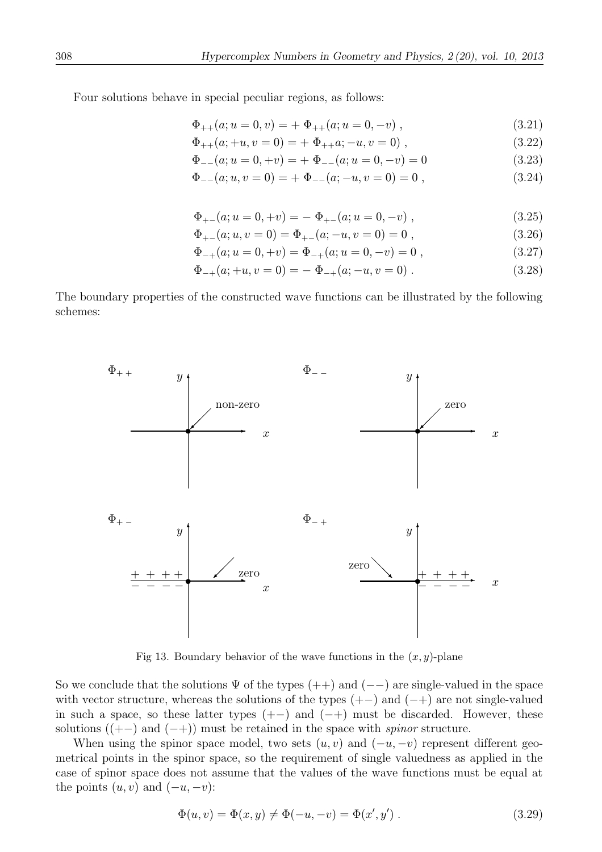Four solutions behave in special peculiar regions, as follows:

$$
\Phi_{++}(a; u = 0, v) = + \Phi_{++}(a; u = 0, -v) , \qquad (3.21)
$$

$$
\Phi_{++}(a; +u, v=0) = + \Phi_{++}a; -u, v=0) , \qquad (3.22)
$$

$$
\Phi_{--}(a; u = 0, +v) = + \Phi_{--}(a; u = 0, -v) = 0 \tag{3.23}
$$

$$
\Phi_{--}(a;u,v=0) = + \Phi_{--}(a;-u,v=0) = 0 , \qquad (3.24)
$$

$$
\Phi_{+-}(a; u = 0, +v) = -\Phi_{+-}(a; u = 0, -v) , \qquad (3.25)
$$

$$
\Phi_{+-}(a;u,v=0) = \Phi_{+-}(a;-u,v=0) = 0 , \qquad (3.26)
$$

$$
\Phi_{-+}(a; u = 0, +v) = \Phi_{-+}(a; u = 0, -v) = 0 , \qquad (3.27)
$$

$$
\Phi_{-+}(a; +u, v = 0) = -\Phi_{-+}(a; -u, v = 0) . \qquad (3.28)
$$

The boundary properties of the constructed wave functions can be illustrated by the following schemes:



Fig 13. Boundary behavior of the wave functions in the  $(x, y)$ -plane

So we conclude that the solutions  $\Psi$  of the types (++) and (--) are single-valued in the space with vector structure, whereas the solutions of the types  $(+-)$  and  $(-+)$  are not single-valued in such a space, so these latter types  $(+-)$  and  $(-+)$  must be discarded. However, these solutions  $((+-)$  and  $(-+))$  must be retained in the space with *spinor* structure.

When using the spinor space model, two sets  $(u, v)$  and  $(-u, -v)$  represent different geometrical points in the spinor space, so the requirement of single valuedness as applied in the case of spinor space does not assume that the values of the wave functions must be equal at the points  $(u, v)$  and  $(-u, -v)$ :

$$
\Phi(u, v) = \Phi(x, y) \neq \Phi(-u, -v) = \Phi(x', y').
$$
\n(3.29)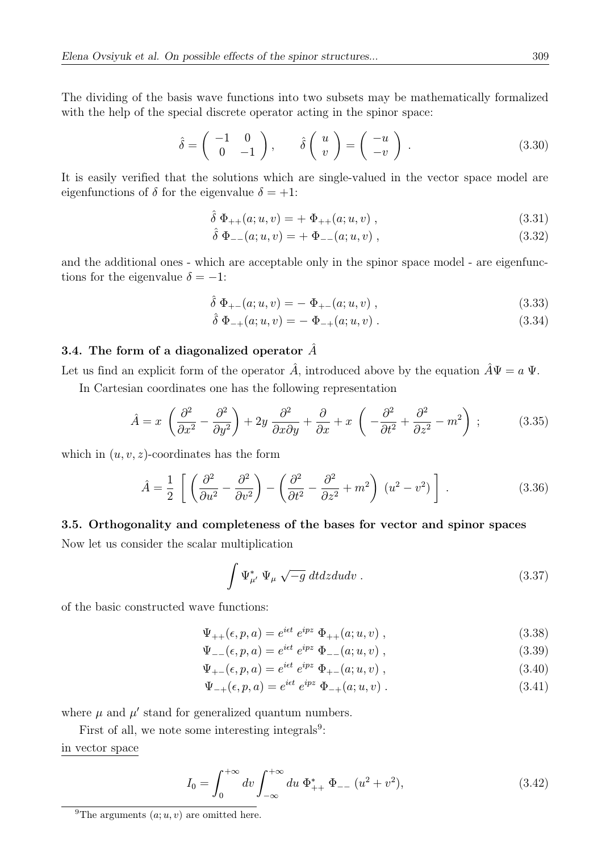The dividing of the basis wave functions into two subsets may be mathematically formalized with the help of the special discrete operator acting in the spinor space:

$$
\hat{\delta} = \begin{pmatrix} -1 & 0 \\ 0 & -1 \end{pmatrix}, \qquad \hat{\delta} \begin{pmatrix} u \\ v \end{pmatrix} = \begin{pmatrix} -u \\ -v \end{pmatrix} . \tag{3.30}
$$

It is easily verified that the solutions which are single-valued in the vector space model are eigenfunctions of  $\delta$  for the eigenvalue  $\delta = +1$ :

$$
\hat{\delta} \ \Phi_{++}(a;u,v) = + \ \Phi_{++}(a;u,v) \ , \tag{3.31}
$$

$$
\hat{\delta} \ \Phi_{--}(a;u,v) = + \ \Phi_{--}(a;u,v) \ , \tag{3.32}
$$

and the additional ones - which are acceptable only in the spinor space model - are eigenfunctions for the eigenvalue  $\delta = -1$ :

$$
\hat{\delta} \ \Phi_{+-}(a;u,v) = - \ \Phi_{+-}(a;u,v) \ , \tag{3.33}
$$

$$
\hat{\delta} \Phi_{-+}(a; u, v) = - \Phi_{-+}(a; u, v) . \qquad (3.34)
$$

## 3.4. The form of a diagonalized operator  $\hat{A}$

Let us find an explicit form of the operator  $\hat{A}$ , introduced above by the equation  $\hat{A}\Psi = a \Psi$ .

In Cartesian coordinates one has the following representation

$$
\hat{A} = x \left( \frac{\partial^2}{\partial x^2} - \frac{\partial^2}{\partial y^2} \right) + 2y \frac{\partial^2}{\partial x \partial y} + \frac{\partial}{\partial x} + x \left( -\frac{\partial^2}{\partial t^2} + \frac{\partial^2}{\partial z^2} - m^2 \right) ;
$$
 (3.35)

which in  $(u, v, z)$ -coordinates has the form

$$
\hat{A} = \frac{1}{2} \left[ \left( \frac{\partial^2}{\partial u^2} - \frac{\partial^2}{\partial v^2} \right) - \left( \frac{\partial^2}{\partial t^2} - \frac{\partial^2}{\partial z^2} + m^2 \right) \left( u^2 - v^2 \right) \right].
$$
\n(3.36)

### 3.5. Orthogonality and completeness of the bases for vector and spinor spaces

Now let us consider the scalar multiplication

$$
\int \Psi_{\mu'}^* \ \Psi_{\mu} \ \sqrt{-g} \ dt dz du dv . \tag{3.37}
$$

of the basic constructed wave functions:

$$
\Psi_{++}(\epsilon, p, a) = e^{i\epsilon t} e^{ipz} \Phi_{++}(a; u, v) , \qquad (3.38)
$$

$$
\Psi_{--}(\epsilon, p, a) = e^{i\epsilon t} e^{ipz} \Phi_{--}(a; u, v) , \qquad (3.39)
$$

$$
\Psi_{+-}(\epsilon, p, a) = e^{i\epsilon t} e^{ipz} \Phi_{+-}(a; u, v) , \qquad (3.40)
$$

$$
\Psi_{-+}(\epsilon, p, a) = e^{i\epsilon t} e^{ipz} \Phi_{-+}(a; u, v) . \tag{3.41}
$$

where  $\mu$  and  $\mu'$  stand for generalized quantum numbers.

First of all, we note some interesting integrals $9$ :

## in vector space

$$
I_0 = \int_0^{+\infty} dv \int_{-\infty}^{+\infty} du \ \Phi_{++}^* \ \Phi_{--} \ (u^2 + v^2), \tag{3.42}
$$

<sup>&</sup>lt;sup>9</sup>The arguments  $(a; u, v)$  are omitted here.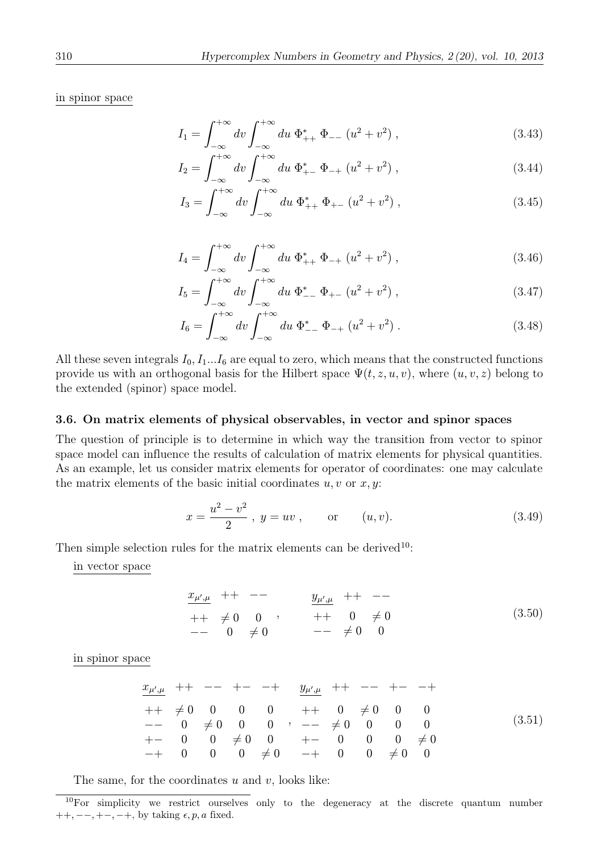in spinor space

$$
I_1 = \int_{-\infty}^{+\infty} dv \int_{-\infty}^{+\infty} du \, \Phi_{++}^* \, \Phi_{--} \left( u^2 + v^2 \right), \tag{3.43}
$$

$$
I_2 = \int_{-\infty}^{+\infty} dv \int_{-\infty}^{+\infty} du \ \Phi_{+-}^* \ \Phi_{-+} \left( u^2 + v^2 \right), \tag{3.44}
$$

$$
I_3 = \int_{-\infty}^{+\infty} dv \int_{-\infty}^{+\infty} du \ \Phi_{++}^* \ \Phi_{+-} \ (u^2 + v^2) \ , \tag{3.45}
$$

$$
I_4 = \int_{-\infty}^{+\infty} dv \int_{-\infty}^{+\infty} du \, \Phi_{++}^* \, \Phi_{-+} \left( u^2 + v^2 \right), \tag{3.46}
$$

$$
I_5 = \int_{-\infty}^{+\infty} dv \int_{-\infty}^{+\infty} du \ \Phi_{--}^* \ \Phi_{+-} \ (u^2 + v^2) \ , \tag{3.47}
$$

$$
I_6 = \int_{-\infty}^{+\infty} dv \int_{-\infty}^{+\infty} du \ \Phi_{--}^* \ \Phi_{-+} \left( u^2 + v^2 \right). \tag{3.48}
$$

All these seven integrals  $I_0$ ,  $I_1...I_6$  are equal to zero, which means that the constructed functions provide us with an orthogonal basis for the Hilbert space  $\Psi(t, z, u, v)$ , where  $(u, v, z)$  belong to the extended (spinor) space model.

#### 3.6. On matrix elements of physical observables, in vector and spinor spaces

The question of principle is to determine in which way the transition from vector to spinor space model can influence the results of calculation of matrix elements for physical quantities. As an example, let us consider matrix elements for operator of coordinates: one may calculate the matrix elements of the basic initial coordinates  $u, v$  or  $x, y$ :

$$
x = \frac{u^2 - v^2}{2}, \ y = uv, \qquad \text{or} \qquad (u, v). \tag{3.49}
$$

Then simple selection rules for the matrix elements can be derived<sup>10</sup>:

in vector space

$$
\begin{array}{ccccccccc}\nx_{\mu',\mu} & ++ & -- & & y_{\mu',\mu} & ++ & --\\
& ++ & \neq 0 & 0 & , & & ++ & 0 & \neq 0\\
& -- & 0 & \neq 0 & & & -- & \neq 0 & 0\n\end{array} \tag{3.50}
$$

in spinor space

$$
\begin{array}{ccccccccc}\nx_{\mu',\mu} & ++ & -- & +- & + & y_{\mu',\mu} & ++ & -- & +- & -+ \\
++ & \neq 0 & 0 & 0 & 0 & + & 0 & \neq 0 & 0 & 0 \\
-- & 0 & \neq 0 & 0 & 0 & -- & \neq 0 & 0 & 0 & 0 \\
+- & 0 & 0 & \neq 0 & 0 & +- & 0 & 0 & 0 & \neq 0 \\
-+ & 0 & 0 & 0 & \neq 0 & -+ & 0 & 0 & \neq 0 & 0\n\end{array} \tag{3.51}
$$

The same, for the coordinates  $u$  and  $v$ , looks like:

 $10$ For simplicity we restrict ourselves only to the degeneracy at the discrete quantum number  $++, --, +-, -+,$  by taking  $\epsilon, p, a$  fixed.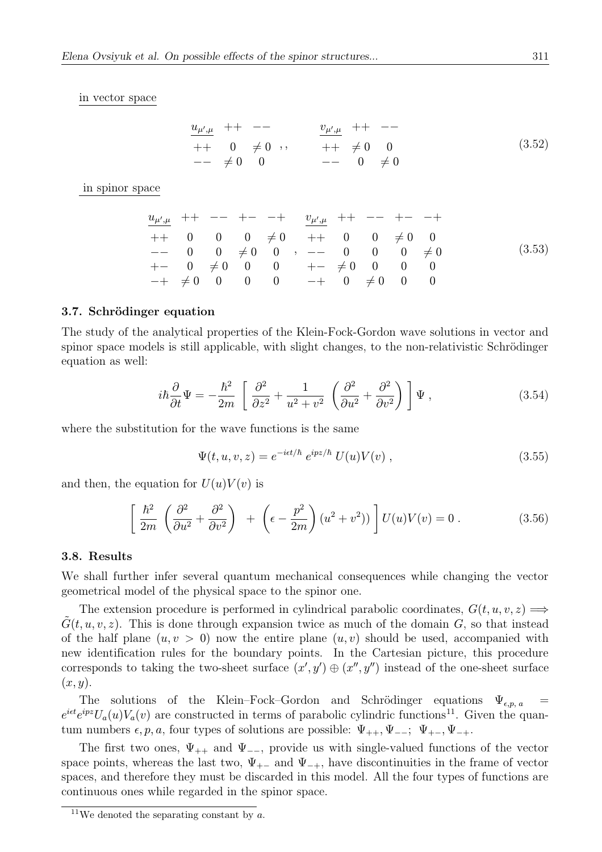in vector space

$$
\begin{array}{ccccccccc}\n u_{\mu',\mu} & + & - & - & & v_{\mu',\mu} & + & - & - \\
 + & 0 & \neq 0 & , & & + & \neq 0 & 0 & & \\
 & - & \neq 0 & 0 & & & - & 0 & \neq 0 & & \\
\end{array}
$$
\n(3.52)

in spinor space

$$
\begin{array}{ccccccccc}\nu_{\mu',\mu}&++&-&-&-&-&-&\cdots&\cdots&\cdots&\cdots&+&-&-&-&+\\
\hline\n++&0&0&0&\neq0&++&0&0&\neq0&0\\
--&0&0&\neq0&0&-&-&0&0&0&\neq0\\
+-&0&\neq0&0&0&+-&\neq0&0&0\\
-+&\neq0&0&0&0&-+&0&\neq0&0&0\n\end{array} \tag{3.53}
$$

#### 3.7. Schrödinger equation

The study of the analytical properties of the Klein-Fock-Gordon wave solutions in vector and spinor space models is still applicable, with slight changes, to the non-relativistic Schrödinger equation as well:

$$
i\hbar \frac{\partial}{\partial t} \Psi = -\frac{\hbar^2}{2m} \left[ \frac{\partial^2}{\partial z^2} + \frac{1}{u^2 + v^2} \left( \frac{\partial^2}{\partial u^2} + \frac{\partial^2}{\partial v^2} \right) \right] \Psi , \qquad (3.54)
$$

where the substitution for the wave functions is the same

$$
\Psi(t, u, v, z) = e^{-i\epsilon t/\hbar} e^{ipz/\hbar} U(u)V(v) , \qquad (3.55)
$$

and then, the equation for  $U(u)V(v)$  is

$$
\left[\frac{\hbar^2}{2m}\left(\frac{\partial^2}{\partial u^2} + \frac{\partial^2}{\partial v^2}\right) + \left(\epsilon - \frac{p^2}{2m}\right)(u^2 + v^2)\right]U(u)V(v) = 0.
$$
\n(3.56)

#### 3.8. Results

We shall further infer several quantum mechanical consequences while changing the vector geometrical model of the physical space to the spinor one.

The extension procedure is performed in cylindrical parabolic coordinates,  $G(t, u, v, z) \Longrightarrow$  $G(t, u, v, z)$ . This is done through expansion twice as much of the domain G, so that instead of the half plane  $(u, v > 0)$  now the entire plane  $(u, v)$  should be used, accompanied with new identification rules for the boundary points. In the Cartesian picture, this procedure corresponds to taking the two-sheet surface  $(x', y') \oplus (x'', y'')$  instead of the one-sheet surface  $(x, y)$ .

The solutions of the Klein–Fock–Gordon and Schrödinger equations  $\Psi_{\epsilon,p,\,a}$  $e^{i\epsilon t}e^{ipz}U_a(u)V_a(v)$  are constructed in terms of parabolic cylindric functions<sup>11</sup>. Given the quantum numbers  $\epsilon, p, a$ , four types of solutions are possible:  $\Psi_{++}, \Psi_{--}$ ;  $\Psi_{+-}, \Psi_{-+}$ .

The first two ones,  $\Psi_{++}$  and  $\Psi_{--}$ , provide us with single-valued functions of the vector space points, whereas the last two,  $\Psi_{+-}$  and  $\Psi_{-+}$ , have discontinuities in the frame of vector spaces, and therefore they must be discarded in this model. All the four types of functions are continuous ones while regarded in the spinor space.

<sup>&</sup>lt;sup>11</sup>We denoted the separating constant by  $a$ .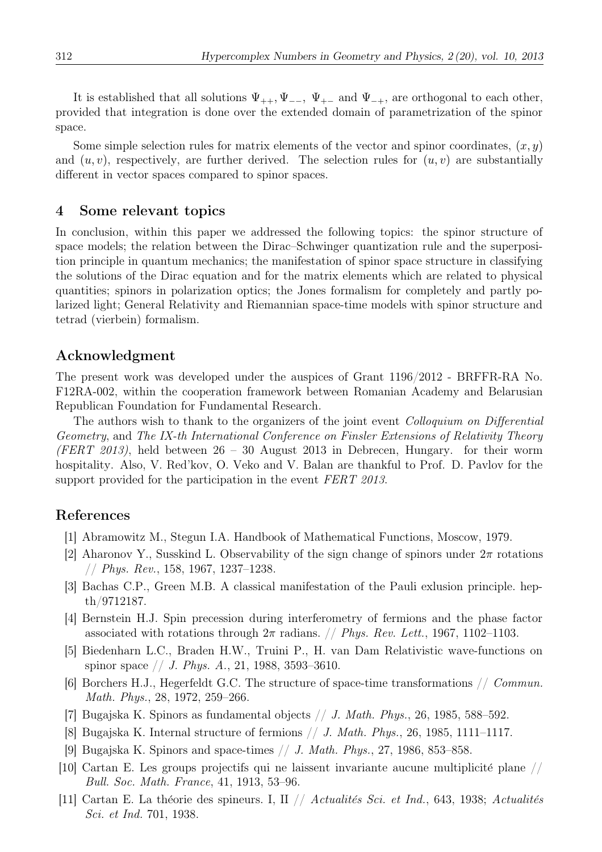It is established that all solutions  $\Psi_{++}, \Psi_{--}, \Psi_{+-}$  and  $\Psi_{-+}$ , are orthogonal to each other, provided that integration is done over the extended domain of parametrization of the spinor space.

Some simple selection rules for matrix elements of the vector and spinor coordinates,  $(x, y)$ and  $(u, v)$ , respectively, are further derived. The selection rules for  $(u, v)$  are substantially different in vector spaces compared to spinor spaces.

## 4 Some relevant topics

In conclusion, within this paper we addressed the following topics: the spinor structure of space models; the relation between the Dirac–Schwinger quantization rule and the superposition principle in quantum mechanics; the manifestation of spinor space structure in classifying the solutions of the Dirac equation and for the matrix elements which are related to physical quantities; spinors in polarization optics; the Jones formalism for completely and partly polarized light; General Relativity and Riemannian space-time models with spinor structure and tetrad (vierbein) formalism.

## Acknowledgment

The present work was developed under the auspices of Grant 1196/2012 - BRFFR-RA No. F12RA-002, within the cooperation framework between Romanian Academy and Belarusian Republican Foundation for Fundamental Research.

The authors wish to thank to the organizers of the joint event *Colloquium on Differential* Geometry, and The IX-th International Conference on Finsler Extensions of Relativity Theory (FERT 2013), held between  $26 - 30$  August 2013 in Debrecen, Hungary. for their worm hospitality. Also, V. Red'kov, O. Veko and V. Balan are thankful to Prof. D. Pavlov for the support provided for the participation in the event FERT 2013.

## References

- [1] Abramowitz M., Stegun I.A. Handbook of Mathematical Functions, Moscow, 1979.
- [2] Aharonov Y., Susskind L. Observability of the sign change of spinors under  $2\pi$  rotations // Phys. Rev., 158, 1967, 1237–1238.
- [3] Bachas C.P., Green M.B. A classical manifestation of the Pauli exlusion principle. hepth/9712187.
- [4] Bernstein H.J. Spin precession during interferometry of fermions and the phase factor associated with rotations through  $2\pi$  radians. *// Phys. Rev. Lett.*, 1967, 1102–1103.
- [5] Biedenharn L.C., Braden H.W., Truini P., H. van Dam Relativistic wave-functions on spinor space  $// J. Phys. A., 21, 1988, 3593-3610.$
- [6] Borchers H.J., Hegerfeldt G.C. The structure of space-time transformations // Commun. Math. Phys., 28, 1972, 259–266.
- [7] Bugajska K. Spinors as fundamental objects  $// J. Math. Phys., 26, 1985, 588–592.$
- [8] Bugajska K. Internal structure of fermions // J. Math. Phys., 26, 1985, 1111–1117.
- [9] Bugajska K. Spinors and space-times // J. Math. Phys., 27, 1986, 853–858.
- [10] Cartan E. Les groups projectifs qui ne laissent invariante aucune multiplicité plane  $//$ Bull. Soc. Math. France, 41, 1913, 53–96.
- [11] Cartan E. La théorie des spineurs. I, II // Actualités Sci. et Ind., 643, 1938; Actualités Sci. et Ind. 701, 1938.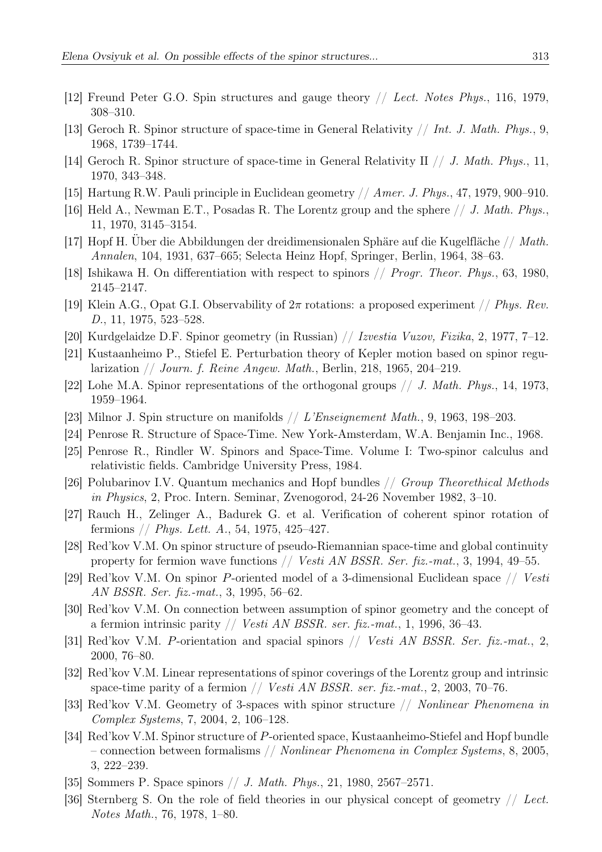- [12] Freund Peter G.O. Spin structures and gauge theory // Lect. Notes Phys., 116, 1979, 308–310.
- [13] Geroch R. Spinor structure of space-time in General Relativity  $// Int. J. Math. Phys., 9,$ 1968, 1739–1744.
- [14] Geroch R. Spinor structure of space-time in General Relativity II // J. Math. Phys., 11, 1970, 343–348.
- [15] Hartung R.W. Pauli principle in Euclidean geometry // Amer. J. Phys., 47, 1979, 900–910.
- [16] Held A., Newman E.T., Posadas R. The Lorentz group and the sphere  $// J. Math. Phys.,$ 11, 1970, 3145–3154.
- [17] Hopf H. Über die Abbildungen der dreidimensionalen Sphäre auf die Kugelfläche // Math. Annalen, 104, 1931, 637–665; Selecta Heinz Hopf, Springer, Berlin, 1964, 38–63.
- [18] Ishikawa H. On differentiation with respect to spinors // Progr. Theor. Phys., 63, 1980, 2145–2147.
- [19] Klein A.G., Opat G.I. Observability of  $2\pi$  rotations: a proposed experiment // Phys. Rev. D., 11, 1975, 523–528.
- [20] Kurdgelaidze D.F. Spinor geometry (in Russian) // Izvestia Vuzov, Fizika, 2, 1977, 7–12.
- [21] Kustaanheimo P., Stiefel E. Perturbation theory of Kepler motion based on spinor regularization // Journ. f. Reine Angew. Math., Berlin, 218, 1965, 204–219.
- [22] Lohe M.A. Spinor representations of the orthogonal groups  $// J. Math. Phys., 14, 1973,$ 1959–1964.
- [23] Milnor J. Spin structure on manifolds // L'Enseignement Math., 9, 1963, 198–203.
- [24] Penrose R. Structure of Space-Time. New York-Amsterdam, W.A. Benjamin Inc., 1968.
- [25] Penrose R., Rindler W. Spinors and Space-Time. Volume I: Two-spinor calculus and relativistic fields. Cambridge University Press, 1984.
- [26] Polubarinov I.V. Quantum mechanics and Hopf bundles // Group Theorethical Methods in Physics, 2, Proc. Intern. Seminar, Zvenogorod, 24-26 November 1982, 3–10.
- [27] Rauch H., Zelinger A., Badurek G. et al. Verification of coherent spinor rotation of fermions  $// Phys. Lett. A., 54, 1975, 425–427.$
- [28] Red'kov V.M. On spinor structure of pseudo-Riemannian space-time and global continuity property for fermion wave functions // Vesti AN BSSR. Ser. fiz.-mat., 3, 1994, 49–55.
- [29] Red'kov V.M. On spinor P-oriented model of a 3-dimensional Euclidean space // Vesti AN BSSR. Ser. fiz.-mat., 3, 1995, 56–62.
- [30] Red'kov V.M. On connection between assumption of spinor geometry and the concept of a fermion intrinsic parity // *Vesti AN BSSR. ser. fiz.-mat.*, 1, 1996, 36–43.
- [31] Red'kov V.M. P-orientation and spacial spinors // Vesti AN BSSR. Ser. fiz.-mat., 2, 2000, 76–80.
- [32] Red'kov V.M. Linear representations of spinor coverings of the Lorentz group and intrinsic space-time parity of a fermion  $//$  Vesti AN BSSR. ser. fiz.-mat., 2, 2003, 70–76.
- [33] Red'kov V.M. Geometry of 3-spaces with spinor structure // Nonlinear Phenomena in Complex Systems, 7, 2004, 2, 106–128.
- [34] Red'kov V.M. Spinor structure of P-oriented space, Kustaanheimo-Stiefel and Hopf bundle – connection between formalisms // Nonlinear Phenomena in Complex Systems, 8, 2005, 3, 222–239.
- [35] Sommers P. Space spinors // J. Math. Phys., 21, 1980, 2567–2571.
- [36] Sternberg S. On the role of field theories in our physical concept of geometry // Lect. Notes Math., 76, 1978, 1–80.